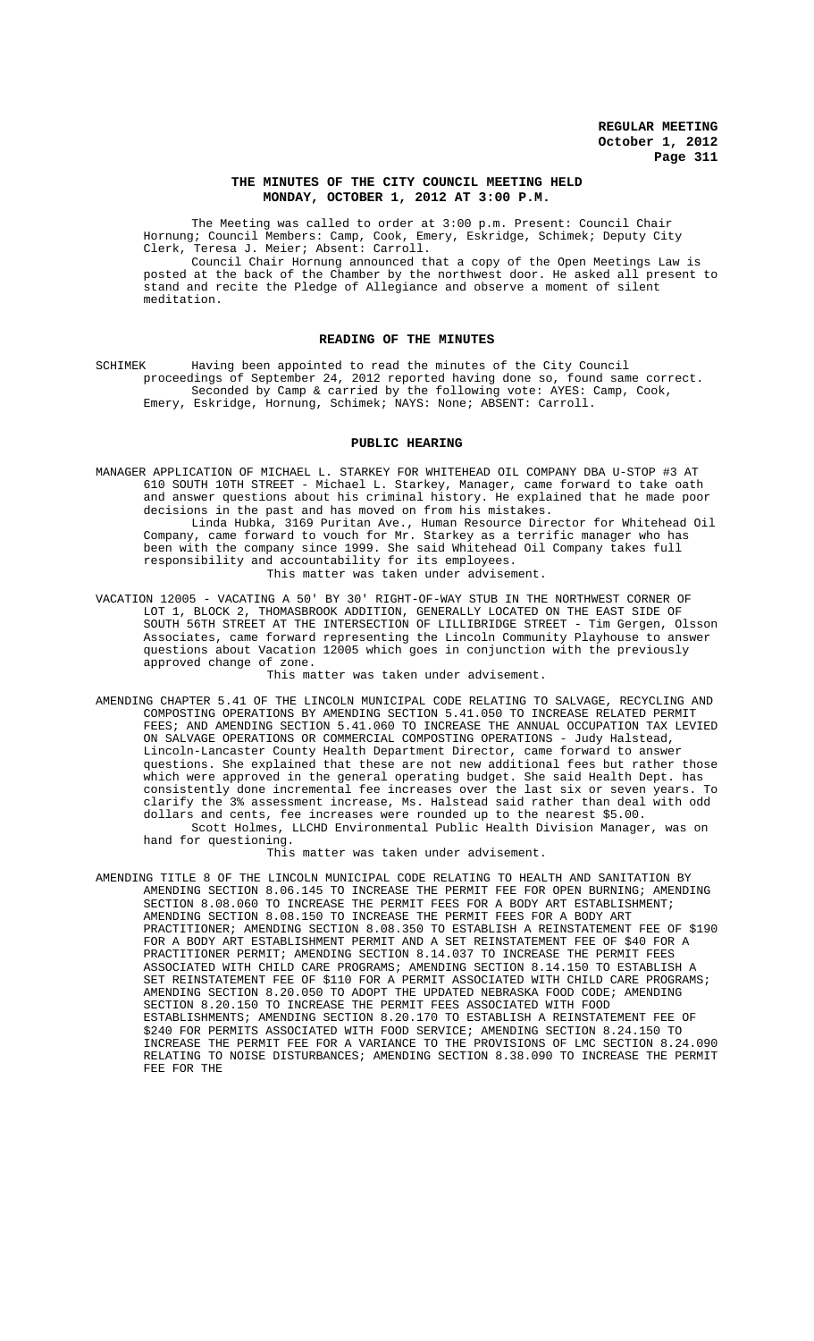## **THE MINUTES OF THE CITY COUNCIL MEETING HELD MONDAY, OCTOBER 1, 2012 AT 3:00 P.M.**

The Meeting was called to order at 3:00 p.m. Present: Council Chair Hornung; Council Members: Camp, Cook, Emery, Eskridge, Schimek; Deputy City Clerk, Teresa J. Meier; Absent: Carroll.

Council Chair Hornung announced that a copy of the Open Meetings Law is posted at the back of the Chamber by the northwest door. He asked all present to stand and recite the Pledge of Allegiance and observe a moment of silent meditation.

## **READING OF THE MINUTES**

SCHIMEK Having been appointed to read the minutes of the City Council proceedings of September 24, 2012 reported having done so, found same correct. Seconded by Camp & carried by the following vote: AYES: Camp, Cook, Emery, Eskridge, Hornung, Schimek; NAYS: None; ABSENT: Carroll.

### **PUBLIC HEARING**

MANAGER APPLICATION OF MICHAEL L. STARKEY FOR WHITEHEAD OIL COMPANY DBA U-STOP #3 AT 610 SOUTH 10TH STREET - Michael L. Starkey, Manager, came forward to take oath and answer questions about his criminal history. He explained that he made poor decisions in the past and has moved on from his mistakes. Linda Hubka, 3169 Puritan Ave., Human Resource Director for Whitehead Oil

Company, came forward to vouch for Mr. Starkey as a terrific manager who has been with the company since 1999. She said Whitehead Oil Company takes full responsibility and accountability for its employees. This matter was taken under advisement.

VACATION 12005 - VACATING A 50' BY 30' RIGHT-OF-WAY STUB IN THE NORTHWEST CORNER OF LOT 1, BLOCK 2, THOMASBROOK ADDITION, GENERALLY LOCATED ON THE EAST SIDE OF SOUTH 56TH STREET AT THE INTERSECTION OF LILLIBRIDGE STREET - Tim Gergen, Olsson Associates, came forward representing the Lincoln Community Playhouse to answer questions about Vacation 12005 which goes in conjunction with the previously approved change of zone.

This matter was taken under advisement.

AMENDING CHAPTER 5.41 OF THE LINCOLN MUNICIPAL CODE RELATING TO SALVAGE, RECYCLING AND COMPOSTING OPERATIONS BY AMENDING SECTION 5.41.050 TO INCREASE RELATED PERMIT FEES; AND AMENDING SECTION 5.41.060 TO INCREASE THE ANNUAL OCCUPATION TAX LEVIED ON SALVAGE OPERATIONS OR COMMERCIAL COMPOSTING OPERATIONS - Judy Halstead, Lincoln-Lancaster County Health Department Director, came forward to answer questions. She explained that these are not new additional fees but rather those which were approved in the general operating budget. She said Health Dept. has consistently done incremental fee increases over the last six or seven years. To clarify the 3% assessment increase, Ms. Halstead said rather than deal with odd dollars and cents, fee increases were rounded up to the nearest \$5.00. Scott Holmes, LLCHD Environmental Public Health Division Manager, was on

hand for questioning.

This matter was taken under advisement.

AMENDING TITLE 8 OF THE LINCOLN MUNICIPAL CODE RELATING TO HEALTH AND SANITATION BY AMENDING SECTION 8.06.145 TO INCREASE THE PERMIT FEE FOR OPEN BURNING; AMENDING SECTION 8.08.060 TO INCREASE THE PERMIT FEES FOR A BODY ART ESTABLISHMENT; AMENDING SECTION 8.08.150 TO INCREASE THE PERMIT FEES FOR A BODY ART PRACTITIONER; AMENDING SECTION 8.08.350 TO ESTABLISH A REINSTATEMENT FEE OF \$190 FOR A BODY ART ESTABLISHMENT PERMIT AND A SET REINSTATEMENT FEE OF \$40 FOR A PRACTITIONER PERMIT; AMENDING SECTION 8.14.037 TO INCREASE THE PERMIT FEES ASSOCIATED WITH CHILD CARE PROGRAMS; AMENDING SECTION 8.14.150 TO ESTABLISH A SET REINSTATEMENT FEE OF \$110 FOR A PERMIT ASSOCIATED WITH CHILD CARE PROGRAMS; AMENDING SECTION 8.20.050 TO ADOPT THE UPDATED NEBRASKA FOOD CODE; AMENDING SECTION 8.20.150 TO INCREASE THE PERMIT FEES ASSOCIATED WITH FOOD ESTABLISHMENTS; AMENDING SECTION 8.20.170 TO ESTABLISH A REINSTATEMENT FEE OF \$240 FOR PERMITS ASSOCIATED WITH FOOD SERVICE; AMENDING SECTION 8.24.150 TO INCREASE THE PERMIT FEE FOR A VARIANCE TO THE PROVISIONS OF LMC SECTION 8.24.090 RELATING TO NOISE DISTURBANCES; AMENDING SECTION 8.38.090 TO INCREASE THE PERMIT FEE FOR THE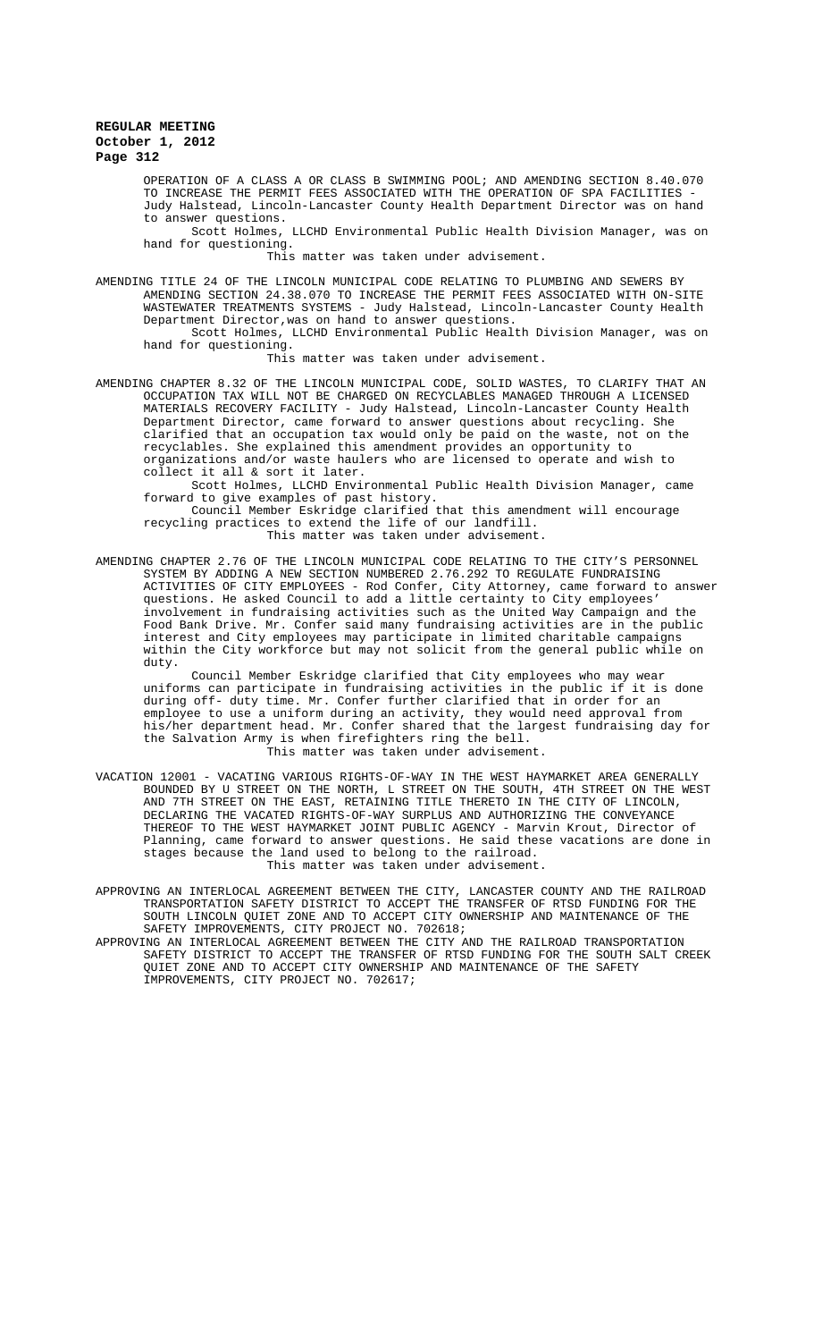OPERATION OF A CLASS A OR CLASS B SWIMMING POOL; AND AMENDING SECTION 8.40.070 TO INCREASE THE PERMIT FEES ASSOCIATED WITH THE OPERATION OF SPA FACILITIES - Judy Halstead, Lincoln-Lancaster County Health Department Director was on hand to answer questions.

Scott Holmes, LLCHD Environmental Public Health Division Manager, was on hand for questioning.

This matter was taken under advisement.

AMENDING TITLE 24 OF THE LINCOLN MUNICIPAL CODE RELATING TO PLUMBING AND SEWERS BY AMENDING SECTION 24.38.070 TO INCREASE THE PERMIT FEES ASSOCIATED WITH ON-SITE WASTEWATER TREATMENTS SYSTEMS - Judy Halstead, Lincoln-Lancaster County Health Department Director,was on hand to answer questions.

Scott Holmes, LLCHD Environmental Public Health Division Manager, was on hand for questioning.

This matter was taken under advisement.

AMENDING CHAPTER 8.32 OF THE LINCOLN MUNICIPAL CODE, SOLID WASTES, TO CLARIFY THAT AN OCCUPATION TAX WILL NOT BE CHARGED ON RECYCLABLES MANAGED THROUGH A LICENSED MATERIALS RECOVERY FACILITY - Judy Halstead, Lincoln-Lancaster County Health Department Director, came forward to answer questions about recycling. She clarified that an occupation tax would only be paid on the waste, not on the recyclables. She explained this amendment provides an opportunity to organizations and/or waste haulers who are licensed to operate and wish to collect it all & sort it later.

Scott Holmes, LLCHD Environmental Public Health Division Manager, came forward to give examples of past history.

Council Member Eskridge clarified that this amendment will encourage recycling practices to extend the life of our landfill. This matter was taken under advisement.

AMENDING CHAPTER 2.76 OF THE LINCOLN MUNICIPAL CODE RELATING TO THE CITY'S PERSONNEL SYSTEM BY ADDING A NEW SECTION NUMBERED 2.76.292 TO REGULATE FUNDRAISING ACTIVITIES OF CITY EMPLOYEES - Rod Confer, City Attorney, came forward to answer questions. He asked Council to add a little certainty to City employees' involvement in fundraising activities such as the United Way Campaign and the Food Bank Drive. Mr. Confer said many fundraising activities are in the public interest and City employees may participate in limited charitable campaigns within the City workforce but may not solicit from the general public while on duty.

Council Member Eskridge clarified that City employees who may wear uniforms can participate in fundraising activities in the public if during off- duty time. Mr. Confer further clarified that in order for an employee to use a uniform during an activity, they would need approval from his/her department head. Mr. Confer shared that the largest fundraising day for the Salvation Army is when firefighters ring the bell. This matter was taken under advisement.

VACATION 12001 - VACATING VARIOUS RIGHTS-OF-WAY IN THE WEST HAYMARKET AREA GENERALLY BOUNDED BY U STREET ON THE NORTH, L STREET ON THE SOUTH, 4TH STREET ON THE WEST AND 7TH STREET ON THE EAST, RETAINING TITLE THERETO IN THE CITY OF LINCOLN, DECLARING THE VACATED RIGHTS-OF-WAY SURPLUS AND AUTHORIZING THE CONVEYANCE THEREOF TO THE WEST HAYMARKET JOINT PUBLIC AGENCY - Marvin Krout, Director of Planning, came forward to answer questions. He said these vacations are done in stages because the land used to belong to the railroad. This matter was taken under advisement.

APPROVING AN INTERLOCAL AGREEMENT BETWEEN THE CITY, LANCASTER COUNTY AND THE RAILROAD TRANSPORTATION SAFETY DISTRICT TO ACCEPT THE TRANSFER OF RTSD FUNDING FOR THE SOUTH LINCOLN QUIET ZONE AND TO ACCEPT CITY OWNERSHIP AND MAINTENANCE OF THE SAFETY IMPROVEMENTS, CITY PROJECT NO. 702618;

APPROVING AN INTERLOCAL AGREEMENT BETWEEN THE CITY AND THE RAILROAD TRANSPORTATION SAFETY DISTRICT TO ACCEPT THE TRANSFER OF RTSD FUNDING FOR THE SOUTH SALT CREEK QUIET ZONE AND TO ACCEPT CITY OWNERSHIP AND MAINTENANCE OF THE SAFETY IMPROVEMENTS, CITY PROJECT NO. 702617;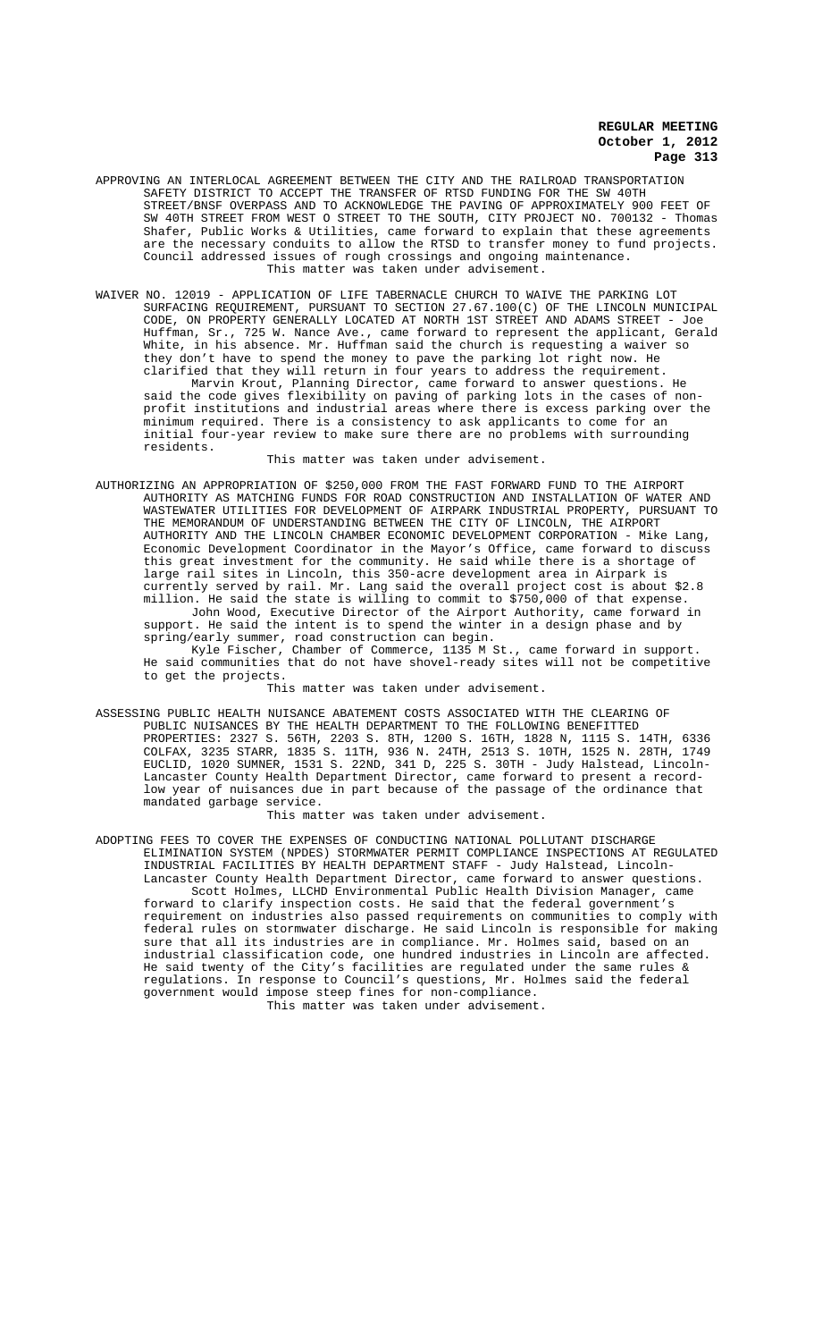- APPROVING AN INTERLOCAL AGREEMENT BETWEEN THE CITY AND THE RAILROAD TRANSPORTATION SAFETY DISTRICT TO ACCEPT THE TRANSFER OF RTSD FUNDING FOR THE SW 40TH STREET/BNSF OVERPASS AND TO ACKNOWLEDGE THE PAVING OF APPROXIMATELY 900 FEET OF SW 40TH STREET FROM WEST O STREET TO THE SOUTH, CITY PROJECT NO. 700132 - Thomas Shafer, Public Works & Utilities, came forward to explain that these agreements are the necessary conduits to allow the RTSD to transfer money to fund projects. Council addressed issues of rough crossings and ongoing maintenance. This matter was taken under advisement.
- WAIVER NO. 12019 APPLICATION OF LIFE TABERNACLE CHURCH TO WAIVE THE PARKING LOT SURFACING REQUIREMENT, PURSUANT TO SECTION 27.67.100(C) OF THE LINCOLN MUNICIPAL CODE, ON PROPERTY GENERALLY LOCATED AT NORTH 1ST STREET AND ADAMS STREET - Joe Huffman, Sr., 725 W. Nance Ave., came forward to represent the applicant, Gerald White, in his absence. Mr. Huffman said the church is requesting a waiver so they don't have to spend the money to pave the parking lot right now. He clarified that they will return in four years to address the requirement. Marvin Krout, Planning Director, came forward to answer questions. He said the code gives flexibility on paving of parking lots in the cases of nonprofit institutions and industrial areas where there is excess parking over the minimum required. There is a consistency to ask applicants to come for an initial four-year review to make sure there are no problems with surrounding residents.

This matter was taken under advisement.

AUTHORIZING AN APPROPRIATION OF \$250,000 FROM THE FAST FORWARD FUND TO THE AIRPORT AUTHORITY AS MATCHING FUNDS FOR ROAD CONSTRUCTION AND INSTALLATION OF WATER AND WASTEWATER UTILITIES FOR DEVELOPMENT OF AIRPARK INDUSTRIAL PROPERTY, PURSUANT TO THE MEMORANDUM OF UNDERSTANDING BETWEEN THE CITY OF LINCOLN, THE AIRPORT AUTHORITY AND THE LINCOLN CHAMBER ECONOMIC DEVELOPMENT CORPORATION - Mike Lang, Economic Development Coordinator in the Mayor's Office, came forward to discuss this great investment for the community. He said while there is a shortage of large rail sites in Lincoln, this 350-acre development area in Airpark is currently served by rail. Mr. Lang said the overall project cost is about \$2.8 million. He said the state is willing to commit to \$750,000 of that expense. John Wood, Executive Director of the Airport Authority, came forward in support. He said the intent is to spend the winter in a design phase and by spring/early summer, road construction can begin.

Kyle Fischer, Chamber of Commerce, 1135 M St., came forward in support. He said communities that do not have shovel-ready sites will not be competitive to get the projects.

This matter was taken under advisement.

ASSESSING PUBLIC HEALTH NUISANCE ABATEMENT COSTS ASSOCIATED WITH THE CLEARING OF PUBLIC NUISANCES BY THE HEALTH DEPARTMENT TO THE FOLLOWING BENEFITTED PROPERTIES: 2327 S. 56TH, 2203 S. 8TH, 1200 S. 16TH, 1828 N, 1115 S. 14TH, 6336 COLFAX, 3235 STARR, 1835 S. 11TH, 936 N. 24TH, 2513 S. 10TH, 1525 N. 28TH, 1749 EUCLID, 1020 SUMNER, 1531 S. 22ND, 341 D, 225 S. 30TH - Judy Halstead, Lincoln-Lancaster County Health Department Director, came forward to present a recordlow year of nuisances due in part because of the passage of the ordinance that mandated garbage service.

This matter was taken under advisement.

ADOPTING FEES TO COVER THE EXPENSES OF CONDUCTING NATIONAL POLLUTANT DISCHARGE ELIMINATION SYSTEM (NPDES) STORMWATER PERMIT COMPLIANCE INSPECTIONS AT REGULATED INDUSTRIAL FACILITIES BY HEALTH DEPARTMENT STAFF - Judy Halstead, Lincoln-Lancaster County Health Department Director, came forward to answer questions. Scott Holmes, LLCHD Environmental Public Health Division Manager, came forward to clarify inspection costs. He said that the federal government's requirement on industries also passed requirements on communities to comply with federal rules on stormwater discharge. He said Lincoln is responsible for making sure that all its industries are in compliance. Mr. Holmes said, based on an industrial classification code, one hundred industries in Lincoln are affected. He said twenty of the City's facilities are regulated under the same rules & regulations. In response to Council's questions, Mr. Holmes said the federal government would impose steep fines for non-compliance.

This matter was taken under advisement.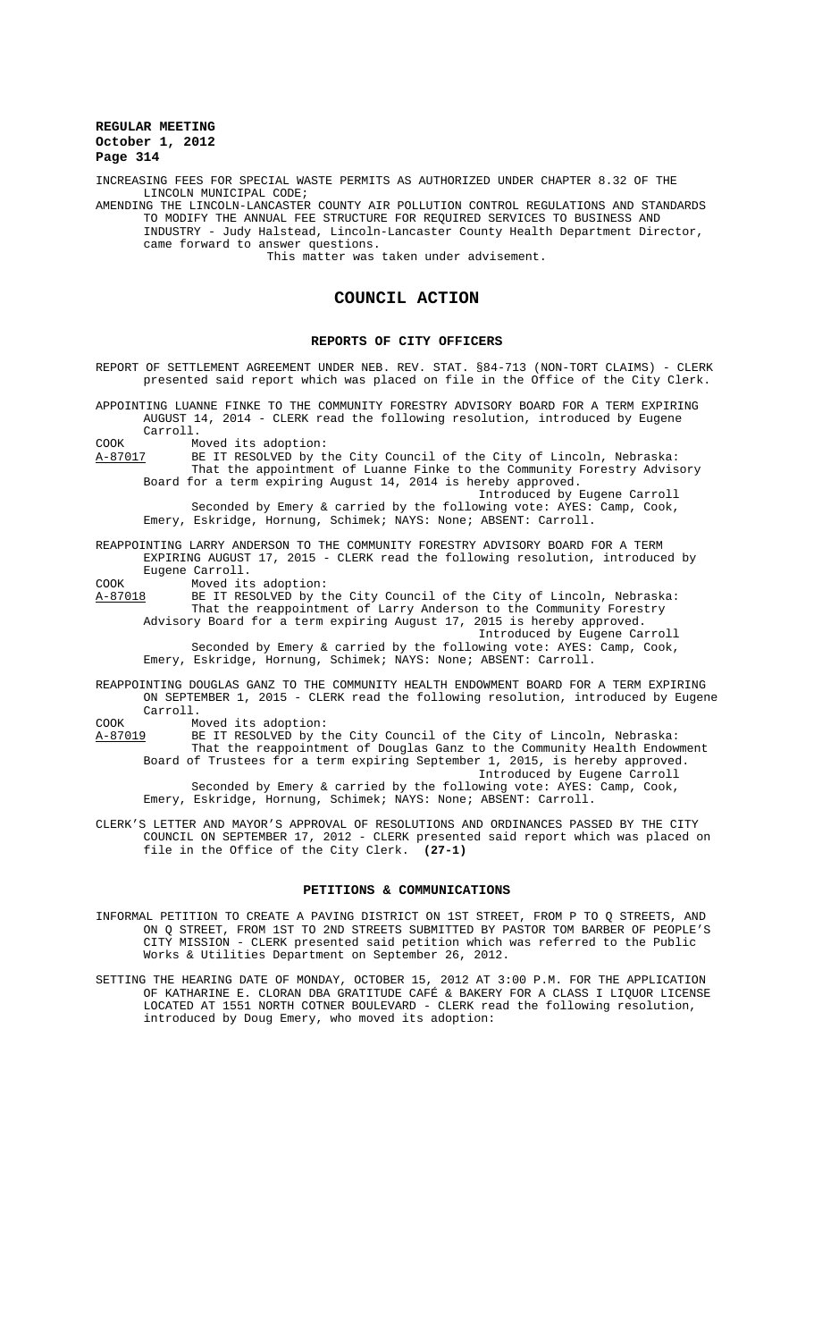INCREASING FEES FOR SPECIAL WASTE PERMITS AS AUTHORIZED UNDER CHAPTER 8.32 OF THE LINCOLN MUNICIPAL CODE;

AMENDING THE LINCOLN-LANCASTER COUNTY AIR POLLUTION CONTROL REGULATIONS AND STANDARDS TO MODIFY THE ANNUAL FEE STRUCTURE FOR REQUIRED SERVICES TO BUSINESS AND INDUSTRY - Judy Halstead, Lincoln-Lancaster County Health Department Director, came forward to answer questions. This matter was taken under advisement.

# **COUNCIL ACTION**

### **REPORTS OF CITY OFFICERS**

REPORT OF SETTLEMENT AGREEMENT UNDER NEB. REV. STAT. §84-713 (NON-TORT CLAIMS) - CLERK presented said report which was placed on file in the Office of the City Clerk.

APPOINTING LUANNE FINKE TO THE COMMUNITY FORESTRY ADVISORY BOARD FOR A TERM EXPIRING AUGUST 14, 2014 - CLERK read the following resolution, introduced by Eugene Carroll.

COOK Moved its adoption:<br>A-87017 BE IT RESOLVED by t A-87017 BE IT RESOLVED by the City Council of the City of Lincoln, Nebraska: That the appointment of Luanne Finke to the Community Forestry Advisory Board for a term expiring August 14, 2014 is hereby approved.

Introduced by Eugene Carroll Seconded by Emery & carried by the following vote: AYES: Camp, Cook, Emery, Eskridge, Hornung, Schimek; NAYS: None; ABSENT: Carroll.

REAPPOINTING LARRY ANDERSON TO THE COMMUNITY FORESTRY ADVISORY BOARD FOR A TERM EXPIRING AUGUST 17, 2015 - CLERK read the following resolution, introduced by Eugene Carroll.

COOK Moved its adoption:

A-87018 BE IT RESOLVED by the City Council of the City of Lincoln, Nebraska: That the reappointment of Larry Anderson to the Community Forestry Advisory Board for a term expiring August 17, 2015 is hereby approved.

Introduced by Eugene Carroll Seconded by Emery & carried by the following vote: AYES: Camp, Cook, Emery, Eskridge, Hornung, Schimek; NAYS: None; ABSENT: Carroll.

REAPPOINTING DOUGLAS GANZ TO THE COMMUNITY HEALTH ENDOWMENT BOARD FOR A TERM EXPIRING ON SEPTEMBER 1, 2015 - CLERK read the following resolution, introduced by Eugene Carroll.

COOK Moved its adoption:<br>
<u>A-87019</u> BE IT RESOLVED by t A-87019 BE IT RESOLVED by the City Council of the City of Lincoln, Nebraska: That the reappointment of Douglas Ganz to the Community Health Endowment Board of Trustees for a term expiring September 1, 2015, is hereby approved. Introduced by Eugene Carroll Seconded by Emery & carried by the following vote: AYES: Camp, Cook, Emery, Eskridge, Hornung, Schimek; NAYS: None; ABSENT: Carroll.

CLERK'S LETTER AND MAYOR'S APPROVAL OF RESOLUTIONS AND ORDINANCES PASSED BY THE CITY

COUNCIL ON SEPTEMBER 17, 2012 - CLERK presented said report which was placed on<br>file in the Office of the City Clerk. (27-1) file in the Office of the City Clerk.

# **PETITIONS & COMMUNICATIONS**

INFORMAL PETITION TO CREATE A PAVING DISTRICT ON 1ST STREET, FROM P TO Q STREETS, AND ON Q STREET, FROM 1ST TO 2ND STREETS SUBMITTED BY PASTOR TOM BARBER OF PEOPLE'S CITY MISSION - CLERK presented said petition which was referred to the Public Works & Utilities Department on September 26, 2012.

SETTING THE HEARING DATE OF MONDAY, OCTOBER 15, 2012 AT 3:00 P.M. FOR THE APPLICATION OF KATHARINE E. CLORAN DBA GRATITUDE CAFÉ & BAKERY FOR A CLASS I LIQUOR LICENSE LOCATED AT 1551 NORTH COTNER BOULEVARD - CLERK read the following resolution, introduced by Doug Emery, who moved its adoption: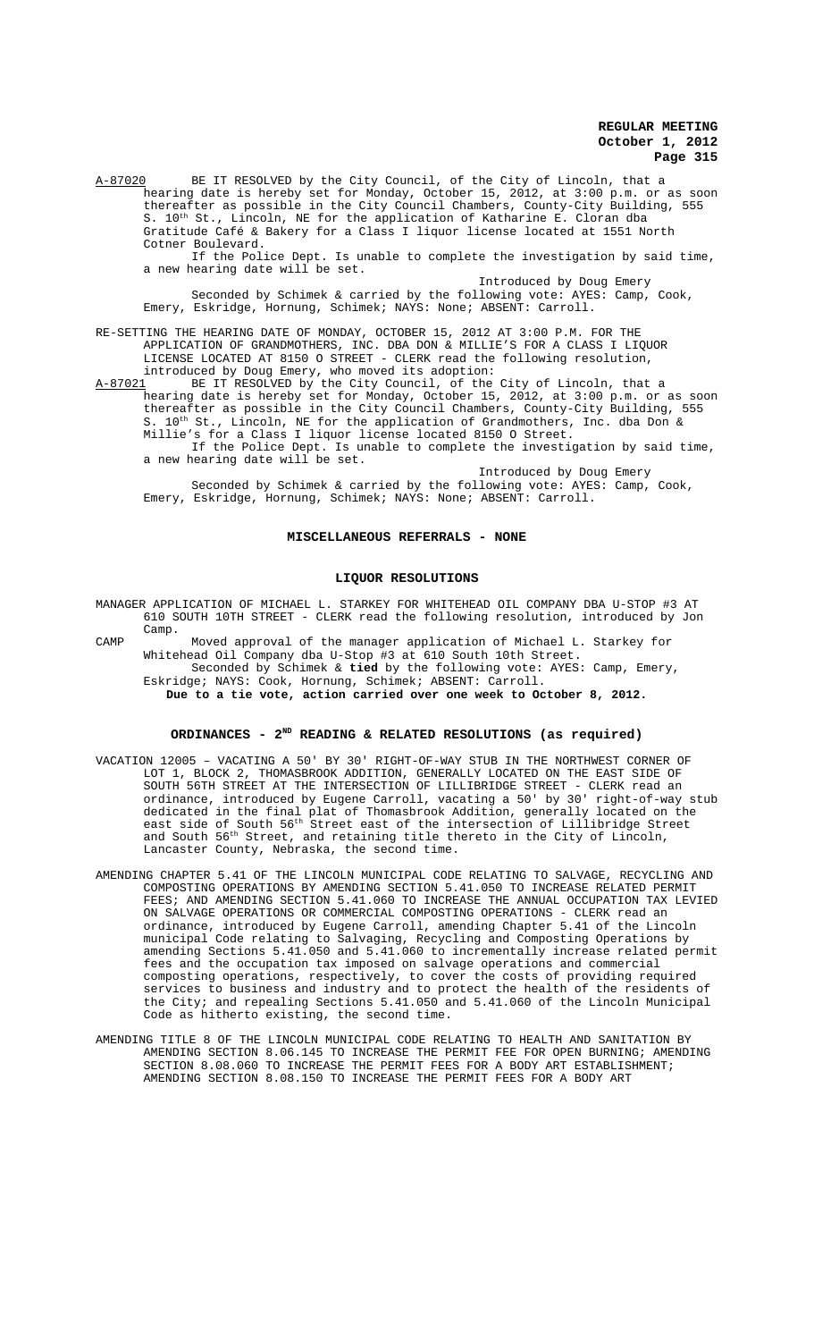A-87020 BE IT RESOLVED by the City Council, of the City of Lincoln, that a hearing date is hereby set for Monday, October 15, 2012, at 3:00 p.m. or as soon thereafter as possible in the City Council Chambers, County-City Building, 555 S. 10<sup>th</sup> St., Lincoln, NE for the application of Katharine E. Cloran dba Gratitude Café & Bakery for a Class I liquor license located at 1551 North Cotner Boulevard.

If the Police Dept. Is unable to complete the investigation by said time, a new hearing date will be set.

Introduced by Doug Emery Seconded by Schimek & carried by the following vote: AYES: Camp, Cook, Emery, Eskridge, Hornung, Schimek; NAYS: None; ABSENT: Carroll.

RE-SETTING THE HEARING DATE OF MONDAY, OCTOBER 15, 2012 AT 3:00 P.M. FOR THE APPLICATION OF GRANDMOTHERS, INC. DBA DON & MILLIE'S FOR A CLASS I LIQUOR LICENSE LOCATED AT 8150 O STREET - CLERK read the following resolution, introduced by Doug Emery, who moved its adoption:

A-87021 BE IT RESOLVED by the City Council, of the City of Lincoln, that a hearing date is hereby set for Monday, October 15, 2012, at 3:00 p.m. or as soon thereafter as possible in the City Council Chambers, County-City Building, 555 S.  $10^{\text{th}}$  St., Lincoln, NE for the application of Grandmothers, Inc. dba Don & Millie's for a Class I liquor license located 8150 O Street. If the Police Dept. Is unable to complete the investigation by said time,

a new hearing date will be set. Introduced by Doug Emery Seconded by Schimek & carried by the following vote: AYES: Camp, Cook, Emery, Eskridge, Hornung, Schimek; NAYS: None; ABSENT: Carroll.

### **MISCELLANEOUS REFERRALS - NONE**

#### **LIQUOR RESOLUTIONS**

MANAGER APPLICATION OF MICHAEL L. STARKEY FOR WHITEHEAD OIL COMPANY DBA U-STOP #3 AT 610 SOUTH 10TH STREET - CLERK read the following resolution, introduced by Jon Camp.

CAMP Moved approval of the manager application of Michael L. Starkey for Whitehead Oil Company dba U-Stop #3 at 610 South 10th Street. Seconded by Schimek & **tied** by the following vote: AYES: Camp, Emery, Eskridge; NAYS: Cook, Hornung, Schimek; ABSENT: Carroll. **Due to a tie vote, action carried over one week to October 8, 2012.**

#### **ORDINANCES - 2ND READING & RELATED RESOLUTIONS (as required)**

- VACATION 12005 VACATING A 50' BY 30' RIGHT-OF-WAY STUB IN THE NORTHWEST CORNER OF LOT 1, BLOCK 2, THOMASBROOK ADDITION, GENERALLY LOCATED ON THE EAST SIDE OF SOUTH 56TH STREET AT THE INTERSECTION OF LILLIBRIDGE STREET - CLERK read an ordinance, introduced by Eugene Carroll, vacating a 50' by 30' right-of-way stub dedicated in the final plat of Thomasbrook Addition, generally located on the east side of South 56th Street east of the intersection of Lillibridge Street and South 56<sup>th</sup> Street, and retaining title thereto in the City of Lincoln, Lancaster County, Nebraska, the second time.
- AMENDING CHAPTER 5.41 OF THE LINCOLN MUNICIPAL CODE RELATING TO SALVAGE, RECYCLING AND COMPOSTING OPERATIONS BY AMENDING SECTION 5.41.050 TO INCREASE RELATED PERMIT FEES; AND AMENDING SECTION 5.41.060 TO INCREASE THE ANNUAL OCCUPATION TAX LEVIED ON SALVAGE OPERATIONS OR COMMERCIAL COMPOSTING OPERATIONS - CLERK read an ordinance, introduced by Eugene Carroll, amending Chapter 5.41 of the Lincoln municipal Code relating to Salvaging, Recycling and Composting Operations by amending Sections 5.41.050 and 5.41.060 to incrementally increase related permit fees and the occupation tax imposed on salvage operations and commercial composting operations, respectively, to cover the costs of providing required services to business and industry and to protect the health of the residents of the City; and repealing Sections 5.41.050 and 5.41.060 of the Lincoln Municipal Code as hitherto existing, the second time.
- AMENDING TITLE 8 OF THE LINCOLN MUNICIPAL CODE RELATING TO HEALTH AND SANITATION BY AMENDING SECTION 8.06.145 TO INCREASE THE PERMIT FEE FOR OPEN BURNING; AMENDING SECTION 8.08.060 TO INCREASE THE PERMIT FEES FOR A BODY ART ESTABLISHMENT; AMENDING SECTION 8.08.150 TO INCREASE THE PERMIT FEES FOR A BODY ART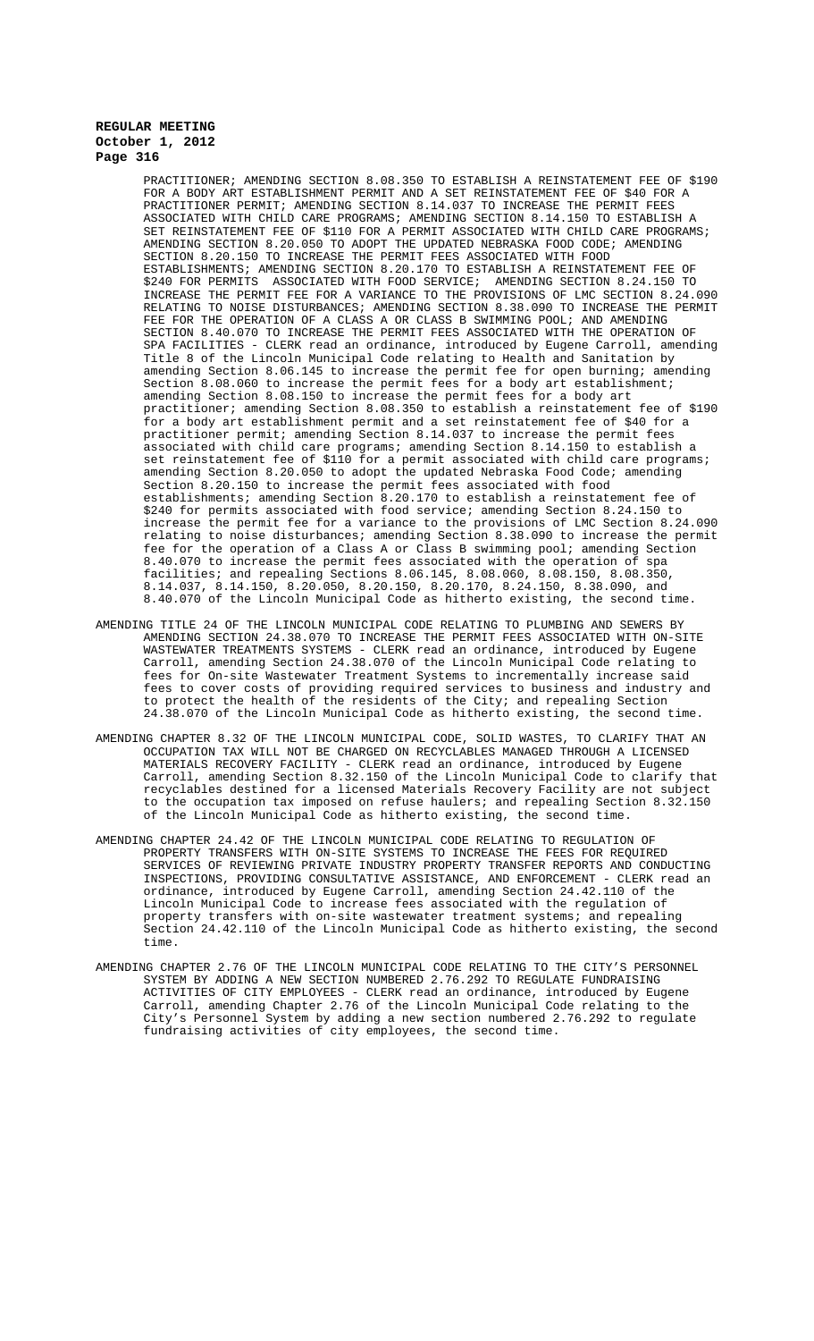PRACTITIONER; AMENDING SECTION 8.08.350 TO ESTABLISH A REINSTATEMENT FEE OF \$190 FOR A BODY ART ESTABLISHMENT PERMIT AND A SET REINSTATEMENT FEE OF \$40 FOR A PRACTITIONER PERMIT; AMENDING SECTION 8.14.037 TO INCREASE THE PERMIT FEES ASSOCIATED WITH CHILD CARE PROGRAMS; AMENDING SECTION 8.14.150 TO ESTABLISH A SET REINSTATEMENT FEE OF \$110 FOR A PERMIT ASSOCIATED WITH CHILD CARE PROGRAMS; AMENDING SECTION 8.20.050 TO ADOPT THE UPDATED NEBRASKA FOOD CODE; AMENDING SECTION 8.20.150 TO INCREASE THE PERMIT FEES ASSOCIATED WITH FOOD ESTABLISHMENTS; AMENDING SECTION 8.20.170 TO ESTABLISH A REINSTATEMENT FEE OF \$240 FOR PERMITS ASSOCIATED WITH FOOD SERVICE; AMENDING SECTION 8.24.150 TO INCREASE THE PERMIT FEE FOR A VARIANCE TO THE PROVISIONS OF LMC SECTION 8.24.090 RELATING TO NOISE DISTURBANCES; AMENDING SECTION 8.38.090 TO INCREASE THE PERMIT FEE FOR THE OPERATION OF A CLASS A OR CLASS B SWIMMING POOL; AND AMENDING SECTION 8.40.070 TO INCREASE THE PERMIT FEES ASSOCIATED WITH THE OPERATION OF SPA FACILITIES - CLERK read an ordinance, introduced by Eugene Carroll, amending Title 8 of the Lincoln Municipal Code relating to Health and Sanitation by amending Section 8.06.145 to increase the permit fee for open burning; amending Section 8.08.060 to increase the permit fees for a body art establishment; amending Section 8.08.150 to increase the permit fees for a body art practitioner; amending Section 8.08.350 to establish a reinstatement fee of \$190 for a body art establishment permit and a set reinstatement fee of \$40 for a practitioner permit; amending Section 8.14.037 to increase the permit fees associated with child care programs; amending Section 8.14.150 to establish a set reinstatement fee of \$110 for a permit associated with child care programs; amending Section 8.20.050 to adopt the updated Nebraska Food Code; amending Section 8.20.150 to increase the permit fees associated with food establishments; amending Section 8.20.170 to establish a reinstatement fee of \$240 for permits associated with food service; amending Section 8.24.150 to increase the permit fee for a variance to the provisions of LMC Section 8.24.090 relating to noise disturbances; amending Section 8.38.090 to increase the permit fee for the operation of a Class A or Class B swimming pool; amending Section 8.40.070 to increase the permit fees associated with the operation of spa facilities; and repealing Sections 8.06.145, 8.08.060, 8.08.150, 8.08.350, 8.14.037, 8.14.150, 8.20.050, 8.20.150, 8.20.170, 8.24.150, 8.38.090, and 8.40.070 of the Lincoln Municipal Code as hitherto existing, the second time.

- AMENDING TITLE 24 OF THE LINCOLN MUNICIPAL CODE RELATING TO PLUMBING AND SEWERS BY AMENDING SECTION 24.38.070 TO INCREASE THE PERMIT FEES ASSOCIATED WITH ON-SITE WASTEWATER TREATMENTS SYSTEMS - CLERK read an ordinance, introduced by Eugene Carroll, amending Section 24.38.070 of the Lincoln Municipal Code relating to fees for On-site Wastewater Treatment Systems to incrementally increase said fees to cover costs of providing required services to business and industry and to protect the health of the residents of the City; and repealing Section 24.38.070 of the Lincoln Municipal Code as hitherto existing, the second time.
- AMENDING CHAPTER 8.32 OF THE LINCOLN MUNICIPAL CODE, SOLID WASTES, TO CLARIFY THAT AN OCCUPATION TAX WILL NOT BE CHARGED ON RECYCLABLES MANAGED THROUGH A LICENSED MATERIALS RECOVERY FACILITY - CLERK read an ordinance, introduced by Eugene Carroll, amending Section 8.32.150 of the Lincoln Municipal Code to clarify that recyclables destined for a licensed Materials Recovery Facility are not subject to the occupation tax imposed on refuse haulers; and repealing Section 8.32.150 of the Lincoln Municipal Code as hitherto existing, the second time.
- AMENDING CHAPTER 24.42 OF THE LINCOLN MUNICIPAL CODE RELATING TO REGULATION OF PROPERTY TRANSFERS WITH ON-SITE SYSTEMS TO INCREASE THE FEES FOR REQUIRED SERVICES OF REVIEWING PRIVATE INDUSTRY PROPERTY TRANSFER REPORTS AND CONDUCTING INSPECTIONS, PROVIDING CONSULTATIVE ASSISTANCE, AND ENFORCEMENT - CLERK read an ordinance, introduced by Eugene Carroll, amending Section 24.42.110 of the Lincoln Municipal Code to increase fees associated with the regulation of property transfers with on-site wastewater treatment systems; and repealing Section 24.42.110 of the Lincoln Municipal Code as hitherto existing, the second time.
- AMENDING CHAPTER 2.76 OF THE LINCOLN MUNICIPAL CODE RELATING TO THE CITY'S PERSONNEL SYSTEM BY ADDING A NEW SECTION NUMBERED 2.76.292 TO REGULATE FUNDRAISING ACTIVITIES OF CITY EMPLOYEES - CLERK read an ordinance, introduced by Eugene Carroll, amending Chapter 2.76 of the Lincoln Municipal Code relating to the City's Personnel System by adding a new section numbered 2.76.292 to regulate fundraising activities of city employees, the second time.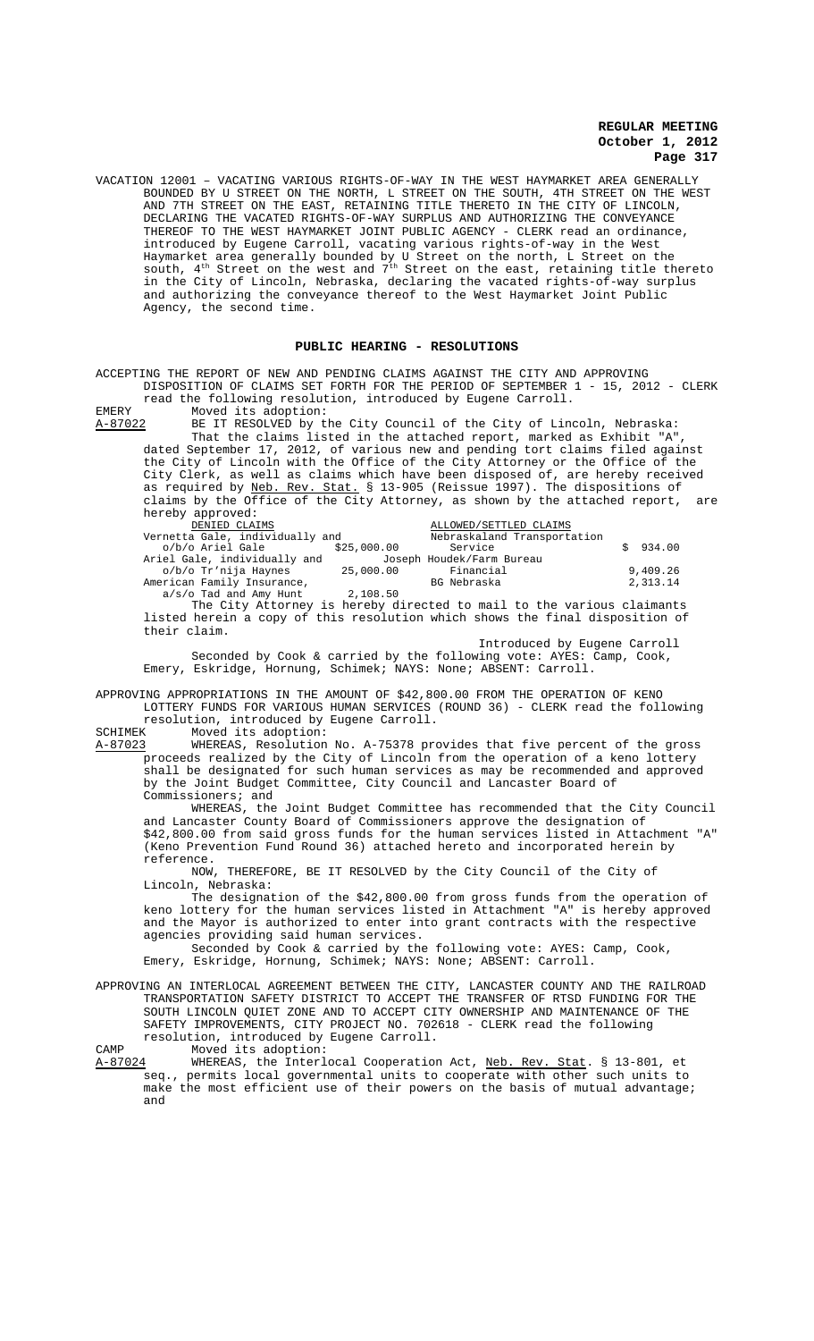VACATION 12001 – VACATING VARIOUS RIGHTS-OF-WAY IN THE WEST HAYMARKET AREA GENERALLY BOUNDED BY U STREET ON THE NORTH, L STREET ON THE SOUTH, 4TH STREET ON THE WEST AND 7TH STREET ON THE EAST, RETAINING TITLE THERETO IN THE CITY OF LINCOLN, DECLARING THE VACATED RIGHTS-OF-WAY SURPLUS AND AUTHORIZING THE CONVEYANCE THEREOF TO THE WEST HAYMARKET JOINT PUBLIC AGENCY - CLERK read an ordinance, introduced by Eugene Carroll, vacating various rights-of-way in the West Haymarket area generally bounded by U Street on the north, L Street on the south,  $4^{\text{th}}$  Street on the west and  $7^{\text{th}}$  Street on the east, retaining title thereto in the City of Lincoln, Nebraska, declaring the vacated rights-of-way surplus and authorizing the conveyance thereof to the West Haymarket Joint Public Agency, the second time.

#### **PUBLIC HEARING - RESOLUTIONS**

ACCEPTING THE REPORT OF NEW AND PENDING CLAIMS AGAINST THE CITY AND APPROVING DISPOSITION OF CLAIMS SET FORTH FOR THE PERIOD OF SEPTEMBER 1 - 15, 2012 - CLERK read the following resolution, introduced by Eugene Carroll.

EMERY Moved its adoption:<br>A-87022 BE IT RESOLVED by t BE IT RESOLVED by the City Council of the City of Lincoln, Nebraska: That the claims listed in the attached report, marked as Exhibit "A", dated September 17, 2012, of various new and pending tort claims filed against the City of Lincoln with the Office of the City Attorney or the Office of the City Clerk, as well as claims which have been disposed of, are hereby received as required by <u>Neb. Rev. Stat.</u> § 13-905 (Reissue 1997). The dispositions of claims by the Office of the City Attorney, as shown by the attached report, are hereby approved:

| DENIED CLAIMS                                                         |             | ALLOWED/SETTLED CLAIMS    |                             |          |  |
|-----------------------------------------------------------------------|-------------|---------------------------|-----------------------------|----------|--|
| Vernetta Gale, individually and                                       |             |                           | Nebraskaland Transportation |          |  |
| o/b/o Ariel Gale                                                      | \$25,000.00 | Service                   |                             | \$934.00 |  |
| Ariel Gale, individually and                                          |             | Joseph Houdek/Farm Bureau |                             |          |  |
| o/b/o Tr'nija Haynes                                                  | 25,000.00   | Financial                 |                             | 9,409.26 |  |
| American Family Insurance,                                            |             | BG Nebraska               |                             | 2,313.14 |  |
| $a/s$ /o Tad and Amy Hunt                                             | 2,108.50    |                           |                             |          |  |
| The City Attorney is hereby directed to mail to the various claimants |             |                           |                             |          |  |

listed herein a copy of this resolution which shows the final disposition of their claim. Introduced by Eugene Carroll

Seconded by Cook & carried by the following vote: AYES: Camp, Cook, Emery, Eskridge, Hornung, Schimek; NAYS: None; ABSENT: Carroll.

APPROVING APPROPRIATIONS IN THE AMOUNT OF \$42,800.00 FROM THE OPERATION OF KENO LOTTERY FUNDS FOR VARIOUS HUMAN SERVICES (ROUND 36) - CLERK read the following resolution, introduced by Eugene Carroll.<br>SCHIMEK Moved its adoption:

SCHIMEK Moved its adoption:<br>A-87023 WHEREAS, Resolution WHEREAS, Resolution No. A-75378 provides that five percent of the gross proceeds realized by the City of Lincoln from the operation of a keno lottery shall be designated for such human services as may be recommended and approved by the Joint Budget Committee, City Council and Lancaster Board of Commissioners; and

WHEREAS, the Joint Budget Committee has recommended that the City Council and Lancaster County Board of Commissioners approve the designation of \$42,800.00 from said gross funds for the human services listed in Attachment "A" (Keno Prevention Fund Round 36) attached hereto and incorporated herein by reference.

NOW, THEREFORE, BE IT RESOLVED by the City Council of the City of Lincoln, Nebraska:

The designation of the \$42,800.00 from gross funds from the operation of keno lottery for the human services listed in Attachment "A" is hereby approved and the Mayor is authorized to enter into grant contracts with the respective agencies providing said human services.

Seconded by Cook & carried by the following vote: AYES: Camp, Cook, Emery, Eskridge, Hornung, Schimek; NAYS: None; ABSENT: Carroll.

APPROVING AN INTERLOCAL AGREEMENT BETWEEN THE CITY, LANCASTER COUNTY AND THE RAILROAD TRANSPORTATION SAFETY DISTRICT TO ACCEPT THE TRANSFER OF RTSD FUNDING FOR THE SOUTH LINCOLN QUIET ZONE AND TO ACCEPT CITY OWNERSHIP AND MAINTENANCE OF THE SAFETY IMPROVEMENTS, CITY PROJECT NO. 702618 - CLERK read the following resolution, introduced by Eugene Carroll.

CAMP Moved its adoption:<br>A-87024 WHEREAS, the Interle WHEREAS, the Interlocal Cooperation Act, <u>Neb. Rev. Stat</u>. § 13-801, et<br>seq., permits local governmental units to cooperate with other such units to permits local governmental units to cooperate with other such units to make the most efficient use of their powers on the basis of mutual advantage; and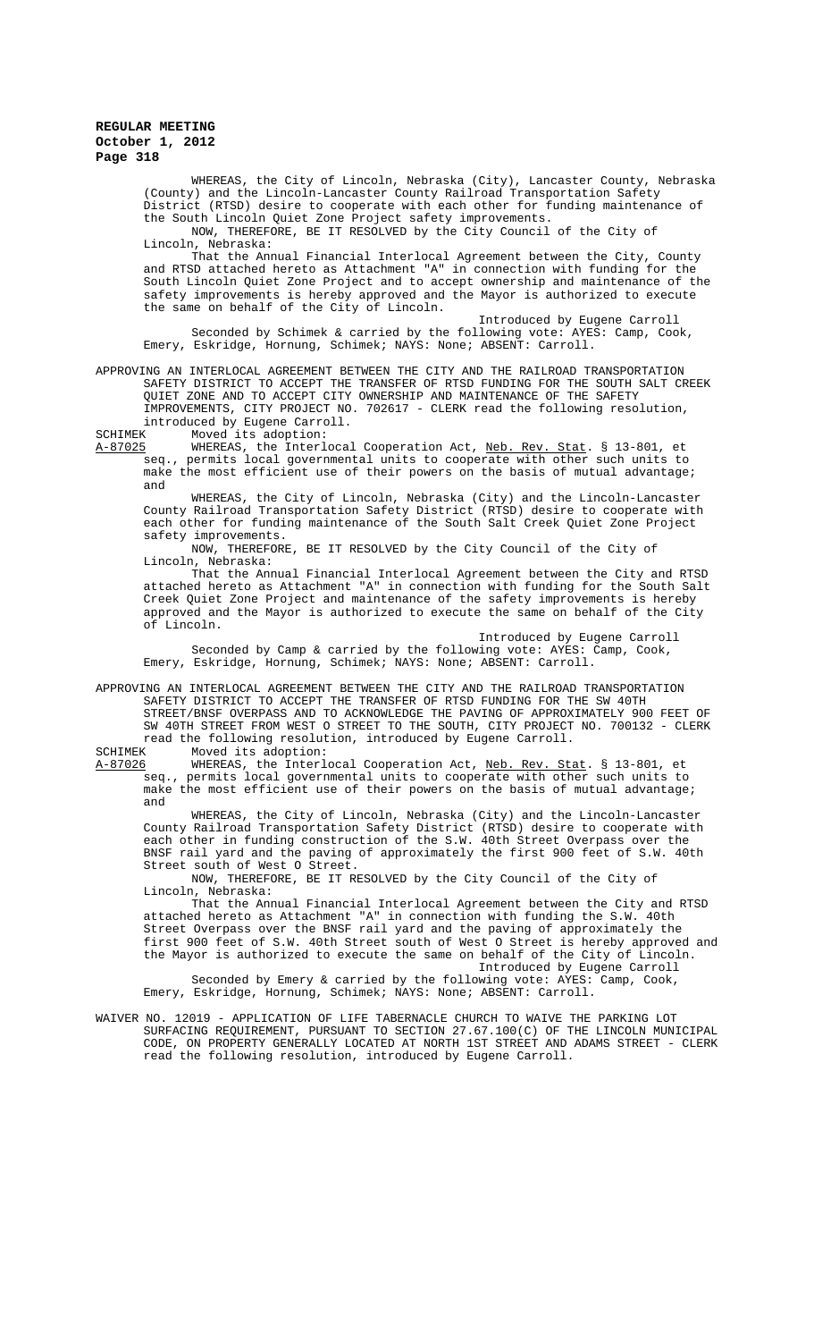WHEREAS, the City of Lincoln, Nebraska (City), Lancaster County, Nebraska (County) and the Lincoln-Lancaster County Railroad Transportation Safety District (RTSD) desire to cooperate with each other for funding maintenance of the South Lincoln Quiet Zone Project safety improvements.

NOW, THEREFORE, BE IT RESOLVED by the City Council of the City of Lincoln, Nebraska:

That the Annual Financial Interlocal Agreement between the City, County and RTSD attached hereto as Attachment "A" in connection with funding for the South Lincoln Quiet Zone Project and to accept ownership and maintenance of the safety improvements is hereby approved and the Mayor is authorized to execute the same on behalf of the City of Lincoln.

Introduced by Eugene Carroll Seconded by Schimek & carried by the following vote: AYES: Camp, Cook, Emery, Eskridge, Hornung, Schimek; NAYS: None; ABSENT: Carroll.

APPROVING AN INTERLOCAL AGREEMENT BETWEEN THE CITY AND THE RAILROAD TRANSPORTATION SAFETY DISTRICT TO ACCEPT THE TRANSFER OF RTSD FUNDING FOR THE SOUTH SALT CREEK QUIET ZONE AND TO ACCEPT CITY OWNERSHIP AND MAINTENANCE OF THE SAFETY IMPROVEMENTS, CITY PROJECT NO. 702617 - CLERK read the following resolution, introduced by Eugene Carroll.<br>SCHIMEK Moved its adoption:

SCHIMEK Moved its adoption:<br>A-87025 MHEREAS, the Interl

MHEREAS, the Interlocal Cooperation Act, Neb. Rev. Stat. § 13-801, et<br>seq., permits local governmental units to cooperate with other such units to permits local governmental units to cooperate with other such units to make the most efficient use of their powers on the basis of mutual advantage; and

WHEREAS, the City of Lincoln, Nebraska (City) and the Lincoln-Lancaster County Railroad Transportation Safety District (RTSD) desire to cooperate with each other for funding maintenance of the South Salt Creek Quiet Zone Project safety improvements.

NOW, THEREFORE, BE IT RESOLVED by the City Council of the City of Lincoln, Nebraska:

That the Annual Financial Interlocal Agreement between the City and RTSD attached hereto as Attachment "A" in connection with funding for the South Salt Creek Quiet Zone Project and maintenance of the safety improvements is hereby approved and the Mayor is authorized to execute the same on behalf of the City of Lincoln.

Introduced by Eugene Carroll

Seconded by Camp & carried by the following vote: AYES: Camp, Cook, Emery, Eskridge, Hornung, Schimek; NAYS: None; ABSENT: Carroll.

APPROVING AN INTERLOCAL AGREEMENT BETWEEN THE CITY AND THE RAILROAD TRANSPORTATION SAFETY DISTRICT TO ACCEPT THE TRANSFER OF RTSD FUNDING FOR THE SW 40TH STREET/BNSF OVERPASS AND TO ACKNOWLEDGE THE PAVING OF APPROXIMATELY 900 FEET OF SW 40TH STREET FROM WEST O STREET TO THE SOUTH, CITY PROJECT NO. 700132 - CLERK read the following resolution, introduced by Eugene Carroll.<br>SCHIMEK Moved its adoption:

SCHIMEK Moved its adoption:<br>A-87026 WHEREAS, the Interle A-87026 WHEREAS, the Interlocal Cooperation Act, <u>Neb. Rev. Stat</u>. § 13-801, et seq., permits local governmental units to cooperate with other such units to make the most efficient use of their powers on the basis of mutual advantage; and

WHEREAS, the City of Lincoln, Nebraska (City) and the Lincoln-Lancaster County Railroad Transportation Safety District (RTSD) desire to cooperate with each other in funding construction of the S.W. 40th Street Overpass over the BNSF rail yard and the paving of approximately the first 900 feet of S.W. 40th Street south of West O Street.

NOW, THEREFORE, BE IT RESOLVED by the City Council of the City of Lincoln, Nebraska:

That the Annual Financial Interlocal Agreement between the City and RTSD attached hereto as Attachment "A" in connection with funding the S.W. 40th Street Overpass over the BNSF rail yard and the paving of approximately the first 900 feet of S.W. 40th Street south of West O Street is hereby approved and the Mayor is authorized to execute the same on behalf of the City of Lincoln. Introduced by Eugene Carroll

Seconded by Emery & carried by the following vote: AYES: Camp, Cook, Emery, Eskridge, Hornung, Schimek; NAYS: None; ABSENT: Carroll.

WAIVER NO. 12019 - APPLICATION OF LIFE TABERNACLE CHURCH TO WAIVE THE PARKING LOT SURFACING REQUIREMENT, PURSUANT TO SECTION 27.67.100(C) OF THE LINCOLN MUNICIPAL CODE, ON PROPERTY GENERALLY LOCATED AT NORTH 1ST STREET AND ADAMS STREET - CLERK read the following resolution, introduced by Eugene Carroll.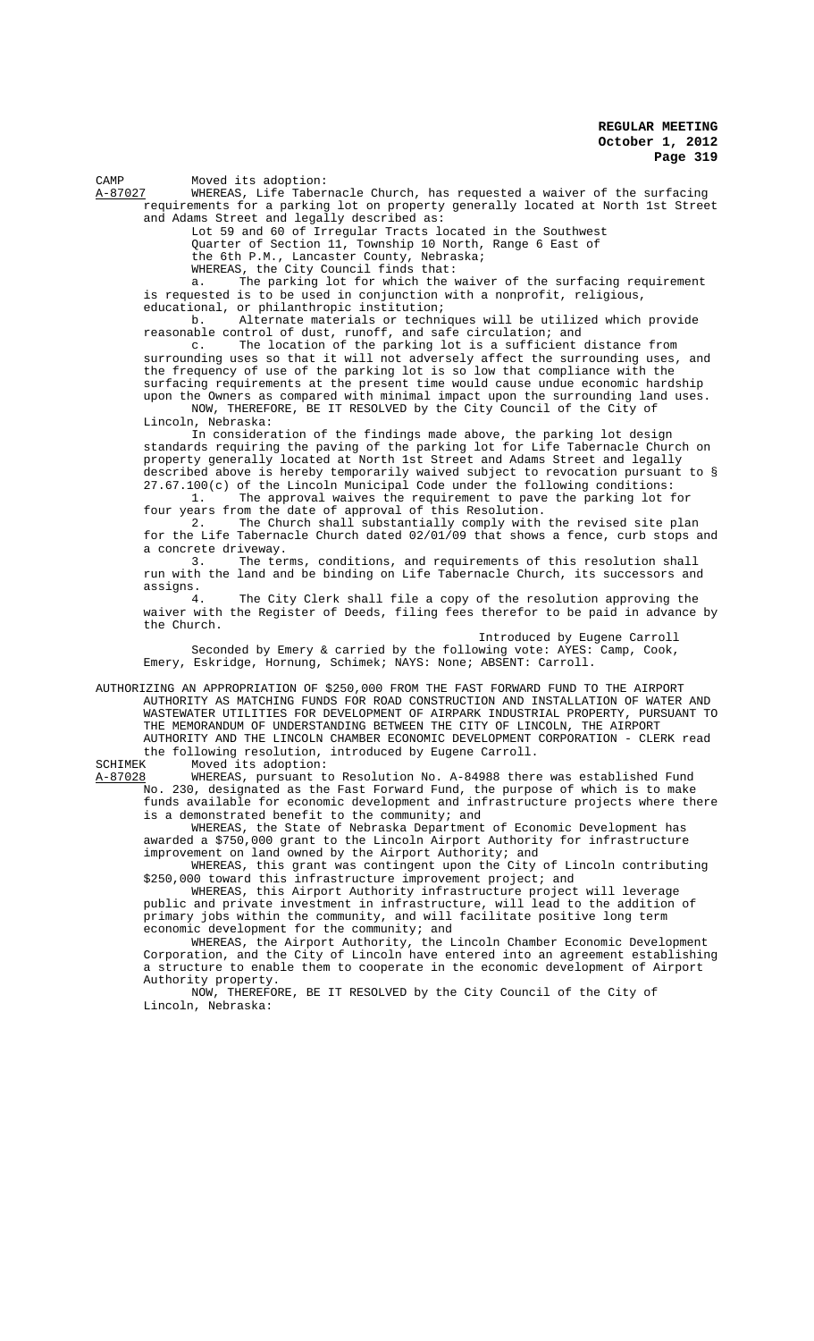CAMP Moved its adoption:<br>A-87027 WHEREAS, Life Taber

WHEREAS, Life Tabernacle Church, has requested a waiver of the surfacing requirements for a parking lot on property generally located at North 1st Street and Adams Street and legally described as:

Lot 59 and 60 of Irregular Tracts located in the Southwest Quarter of Section 11, Township 10 North, Range 6 East of

the 6th P.M., Lancaster County, Nebraska;

WHEREAS, the City Council finds that:

a. The parking lot for which the waiver of the surfacing requirement is requested is to be used in conjunction with a nonprofit, religious, educational, or philanthropic institution;<br>b. Alternate materials or techni

Alternate materials or techniques will be utilized which provide reasonable control of dust, runoff, and safe circulation; and

c. The location of the parking lot is a sufficient distance from surrounding uses so that it will not adversely affect the surrounding uses, and the frequency of use of the parking lot is so low that compliance with the surfacing requirements at the present time would cause undue economic hardship upon the Owners as compared with minimal impact upon the surrounding land uses.

NOW, THEREFORE, BE IT RESOLVED by the City Council of the City of Lincoln, Nebraska:

In consideration of the findings made above, the parking lot design standards requiring the paving of the parking lot for Life Tabernacle Church on property generally located at North 1st Street and Adams Street and legally described above is hereby temporarily waived subject to revocation pursuant to § 27.67.100(c) of the Lincoln Municipal Code under the following conditions:

1. The approval waives the requirement to pave the parking lot for four years from the date of approval of this Resolution.

2. The Church shall substantially comply with the revised site plan for the Life Tabernacle Church dated 02/01/09 that shows a fence, curb stops and a concrete driveway.

3. The terms, conditions, and requirements of this resolution shall run with the land and be binding on Life Tabernacle Church, its successors and assigns.

4. The City Clerk shall file a copy of the resolution approving the waiver with the Register of Deeds, filing fees therefor to be paid in advance by the Church.

Introduced by Eugene Carroll

Seconded by Emery & carried by the following vote: AYES: Camp, Cook, Emery, Eskridge, Hornung, Schimek; NAYS: None; ABSENT: Carroll.

AUTHORIZING AN APPROPRIATION OF \$250,000 FROM THE FAST FORWARD FUND TO THE AIRPORT AUTHORITY AS MATCHING FUNDS FOR ROAD CONSTRUCTION AND INSTALLATION OF WATER AND WASTEWATER UTILITIES FOR DEVELOPMENT OF AIRPARK INDUSTRIAL PROPERTY, PURSUANT TO THE MEMORANDUM OF UNDERSTANDING BETWEEN THE CITY OF LINCOLN, THE AIRPORT AUTHORITY AND THE LINCOLN CHAMBER ECONOMIC DEVELOPMENT CORPORATION - CLERK read the following resolution, introduced by Eugene Carroll.<br>SCHIMEK Moved its adoption:

SCHIMEK Moved its adoption:<br>A-87028 WHEREAS, pursuant to WHEREAS, pursuant to Resolution No. A-84988 there was established Fund No. 230, designated as the Fast Forward Fund, the purpose of which is to make funds available for economic development and infrastructure projects where there is a demonstrated benefit to the community; and

WHEREAS, the State of Nebraska Department of Economic Development has awarded a \$750,000 grant to the Lincoln Airport Authority for infrastructure improvement on land owned by the Airport Authority; and

WHEREAS, this grant was contingent upon the City of Lincoln contributing \$250,000 toward this infrastructure improvement project; and

WHEREAS, this Airport Authority infrastructure project will leverage public and private investment in infrastructure, will lead to the addition of primary jobs within the community, and will facilitate positive long term economic development for the community; and

WHEREAS, the Airport Authority, the Lincoln Chamber Economic Development Corporation, and the City of Lincoln have entered into an agreement establishing a structure to enable them to cooperate in the economic development of Airport Authority property.

NOW, THEREFORE, BE IT RESOLVED by the City Council of the City of Lincoln, Nebraska: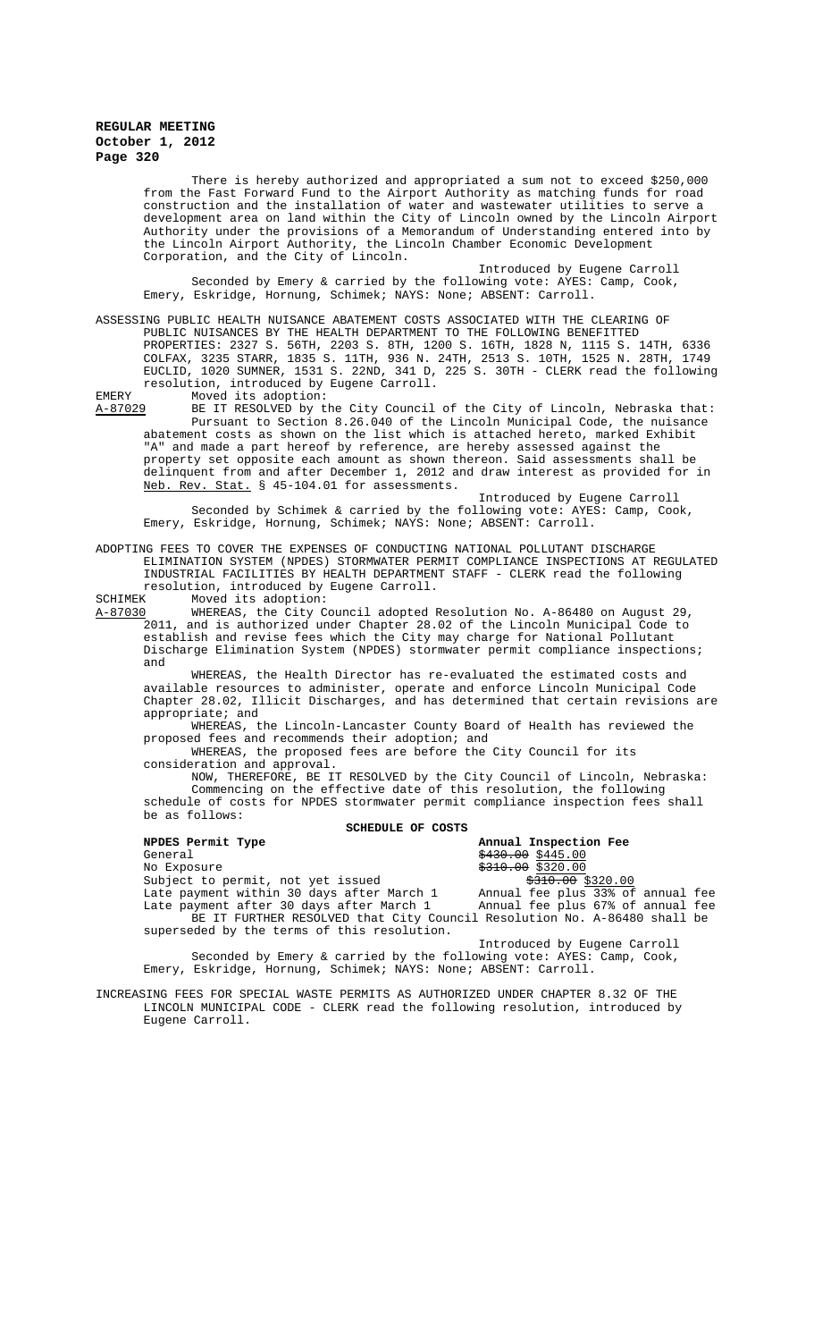There is hereby authorized and appropriated a sum not to exceed \$250,000 from the Fast Forward Fund to the Airport Authority as matching funds for road construction and the installation of water and wastewater utilities to serve a development area on land within the City of Lincoln owned by the Lincoln Airport Authority under the provisions of a Memorandum of Understanding entered into by the Lincoln Airport Authority, the Lincoln Chamber Economic Development Corporation, and the City of Lincoln.

Introduced by Eugene Carroll Seconded by Emery & carried by the following vote: AYES: Camp, Cook, Emery, Eskridge, Hornung, Schimek; NAYS: None; ABSENT: Carroll.

ASSESSING PUBLIC HEALTH NUISANCE ABATEMENT COSTS ASSOCIATED WITH THE CLEARING OF PUBLIC NUISANCES BY THE HEALTH DEPARTMENT TO THE FOLLOWING BENEFITTED PROPERTIES: 2327 S. 56TH, 2203 S. 8TH, 1200 S. 16TH, 1828 N, 1115 S. 14TH, 6336 COLFAX, 3235 STARR, 1835 S. 11TH, 936 N. 24TH, 2513 S. 10TH, 1525 N. 28TH, 1749 EUCLID, 1020 SUMNER, 1531 S. 22ND, 341 D, 225 S. 30TH - CLERK read the following resolution, introduced by Eugene Carroll.

EMERY Moved its adoption:<br>A-87029 BE IT RESOLVED by tl BE IT RESOLVED by the City Council of the City of Lincoln, Nebraska that: Pursuant to Section 8.26.040 of the Lincoln Municipal Code, the nuisance abatement costs as shown on the list which is attached hereto, marked Exhibit "A" and made a part hereof by reference, are hereby assessed against the property set opposite each amount as shown thereon. Said assessments shall be delinquent from and after December 1, 2012 and draw interest as provided for in Neb. Rev. Stat. § 45-104.01 for assessments.

Introduced by Eugene Carroll Seconded by Schimek & carried by the following vote: AYES: Camp, Cook, Emery, Eskridge, Hornung, Schimek; NAYS: None; ABSENT: Carroll.

ADOPTING FEES TO COVER THE EXPENSES OF CONDUCTING NATIONAL POLLUTANT DISCHARGE ELIMINATION SYSTEM (NPDES) STORMWATER PERMIT COMPLIANCE INSPECTIONS AT REGULATED INDUSTRIAL FACILITIES BY HEALTH DEPARTMENT STAFF - CLERK read the following resolution, introduced by Eugene Carroll.<br>SCHIMEK Moved its adoption:

SCHIMEK Moved its adoption:<br>A-87030 WHEREAS, the City C WHEREAS, the City Council adopted Resolution No. A-86480 on August 29, 2011, and is authorized under Chapter 28.02 of the Lincoln Municipal Code to establish and revise fees which the City may charge for National Pollutant Discharge Elimination System (NPDES) stormwater permit compliance inspections; and

WHEREAS, the Health Director has re-evaluated the estimated costs and available resources to administer, operate and enforce Lincoln Municipal Code Chapter 28.02, Illicit Discharges, and has determined that certain revisions are appropriate; and

WHEREAS, the Lincoln-Lancaster County Board of Health has reviewed the proposed fees and recommends their adoption; and

WHEREAS, the proposed fees are before the City Council for its consideration and approval.

NOW, THEREFORE, BE IT RESOLVED by the City Council of Lincoln, Nebraska: Commencing on the effective date of this resolution, the following schedule of costs for NPDES stormwater permit compliance inspection fees shall be as follows:

**SCHEDULE OF COSTS**

| NPDES Permit Type                                                        | Annual Inspection Fee             |
|--------------------------------------------------------------------------|-----------------------------------|
| General                                                                  | $\frac{12430.00}{100}$ \$445.00   |
| No Exposure                                                              | $$310.00$ \$320.00                |
| Subject to permit, not yet issued                                        | <del>\$310.00</del> \$320.00      |
| Late payment within 30 days after March 1                                | Annual fee plus 33% of annual fee |
| Late payment after 30 days after March 1                                 | Annual fee plus 67% of annual fee |
| BE IT FURTHER RESOLVED that City Council Resolution No. A-86480 shall be |                                   |
| superseded by the terms of this resolution.                              |                                   |
|                                                                          | Introduced by Eugene Carroll      |

Seconded by Emery & carried by the following vote: AYES: Camp, Cook, Emery, Eskridge, Hornung, Schimek; NAYS: None; ABSENT: Carroll.

INCREASING FEES FOR SPECIAL WASTE PERMITS AS AUTHORIZED UNDER CHAPTER 8.32 OF THE LINCOLN MUNICIPAL CODE - CLERK read the following resolution, introduced by Eugene Carroll.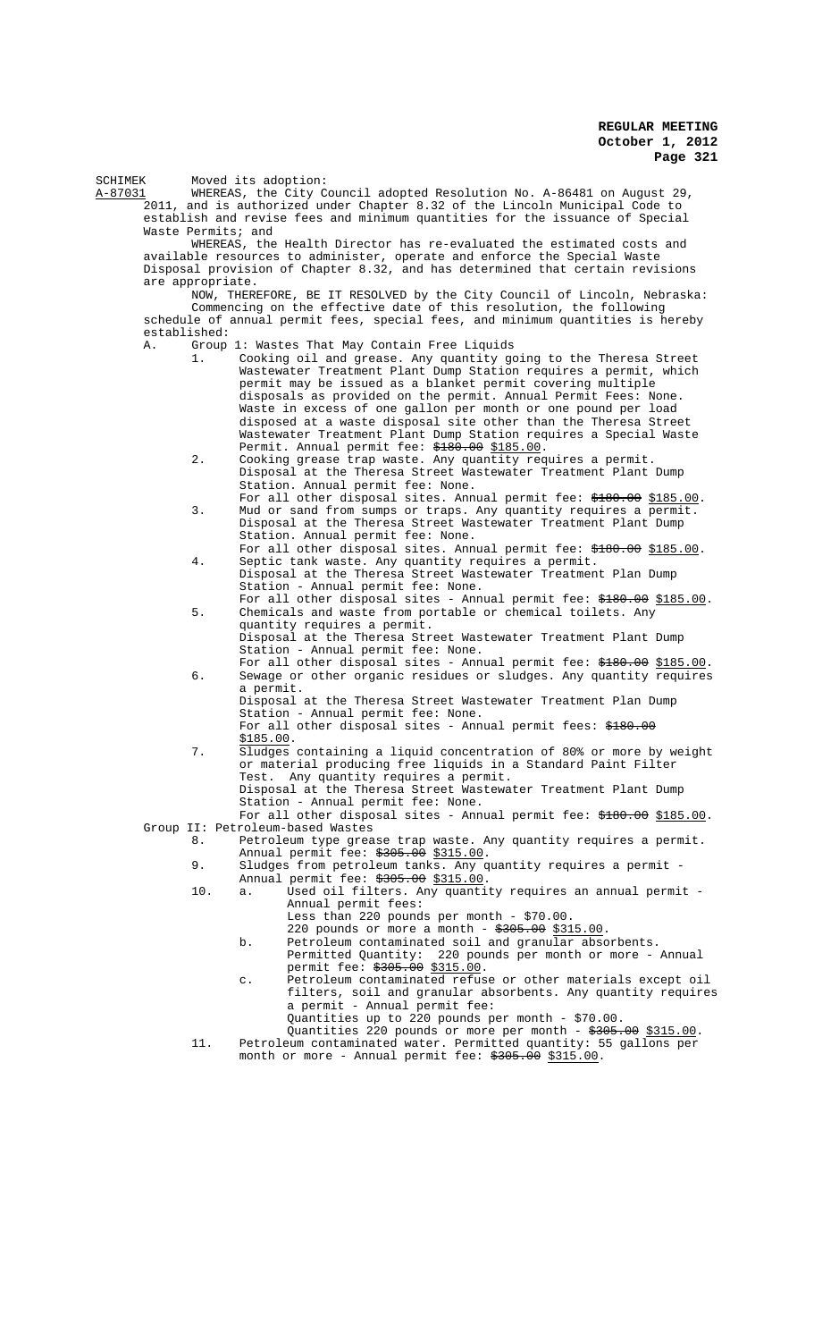SCHIMEK Moved its adoption:

A-87031 WHEREAS, the City Council adopted Resolution No. A-86481 on August 29, 2011, and is authorized under Chapter 8.32 of the Lincoln Municipal Code to establish and revise fees and minimum quantities for the issuance of Special Waste Permits; and

WHEREAS, the Health Director has re-evaluated the estimated costs and available resources to administer, operate and enforce the Special Waste Disposal provision of Chapter 8.32, and has determined that certain revisions are appropriate.

NOW, THEREFORE, BE IT RESOLVED by the City Council of Lincoln, Nebraska: Commencing on the effective date of this resolution, the following schedule of annual permit fees, special fees, and minimum quantities is hereby established:

- A. Group 1: Wastes That May Contain Free Liquids
	- 1. Cooking oil and grease. Any quantity going to the Theresa Street Wastewater Treatment Plant Dump Station requires a permit, which permit may be issued as a blanket permit covering multiple disposals as provided on the permit. Annual Permit Fees: None. Waste in excess of one gallon per month or one pound per load disposed at a waste disposal site other than the Theresa Street Wastewater Treatment Plant Dump Station requires a Special Waste Permit. Annual permit fee: \$180.00 \$185.00.
	- 2. Cooking grease trap waste. Any quantity requires a permit. Disposal at the Theresa Street Wastewater Treatment Plant Dump Station. Annual permit fee: None.
	- For all other disposal sites. Annual permit fee: \$180.00 \$185.00. 3. Mud or sand from sumps or traps. Any quantity requires a permit. Disposal at the Theresa Street Wastewater Treatment Plant Dump Station. Annual permit fee: None.
	- For all other disposal sites. Annual permit fee: \$180.00 \$185.00. 4. Septic tank waste. Any quantity requires a permit. Disposal at the Theresa Street Wastewater Treatment Plan Dump
	- Station Annual permit fee: None. For all other disposal sites - Annual permit fee: \$180.00 \$185.00. 5. Chemicals and waste from portable or chemical toilets. Any quantity requires a permit.
		- Disposal at the Theresa Street Wastewater Treatment Plant Dump Station - Annual permit fee: None.
	- For all other disposal sites Annual permit fee: \$180.00 \$185.00. 6. Sewage or other organic residues or sludges. Any quantity requires a permit.
		- Disposal at the Theresa Street Wastewater Treatment Plan Dump Station - Annual permit fee: None.
		- For all other disposal sites Annual permit fees: \$180.00 \$185.00.
	- 7. Sludges containing a liquid concentration of 80% or more by weight or material producing free liquids in a Standard Paint Filter Test. Any quantity requires a permit. Disposal at the Theresa Street Wastewater Treatment Plant Dump
		- Station Annual permit fee: None. For all other disposal sites - Annual permit fee: \$180.00 \$185.00.
- Group II: Petroleum-based Wastes<br>8. Petroleum type grea
	- Petroleum type grease trap waste. Any quantity requires a permit. Annual permit fee:  $\frac{1}{7}305.00$  \$315.00.
	- 9. Sludges from petroleum tanks. Any quantity requires a permit Annual permit fee: \$305.00 \$315.00.
	- 10. a. Used oil filters. Any quantity requires an annual permit Annual permit fees: Less than 220 pounds per month - \$70.00.
		- 220 pounds or more a month  $*305.00$  \$315.00.
		- b. Petroleum contaminated soil and granular absorbents.
		- Permitted Quantity: 220 pounds per month or more Annual permit fee: \$305.00 \$315.00.
		- c. Petroleum contaminated refuse or other materials except oil filters, soil and granular absorbents. Any quantity requires a permit - Annual permit fee: Quantities up to 220 pounds per month - \$70.00.
	- Quantities 220 pounds or more per month  $\frac{2305.00}{2315.00}$ . 11. Petroleum contaminated water. Permitted quantity: 55 gallons per month or more - Annual permit fee: <del>\$305.00</del> \$315.00.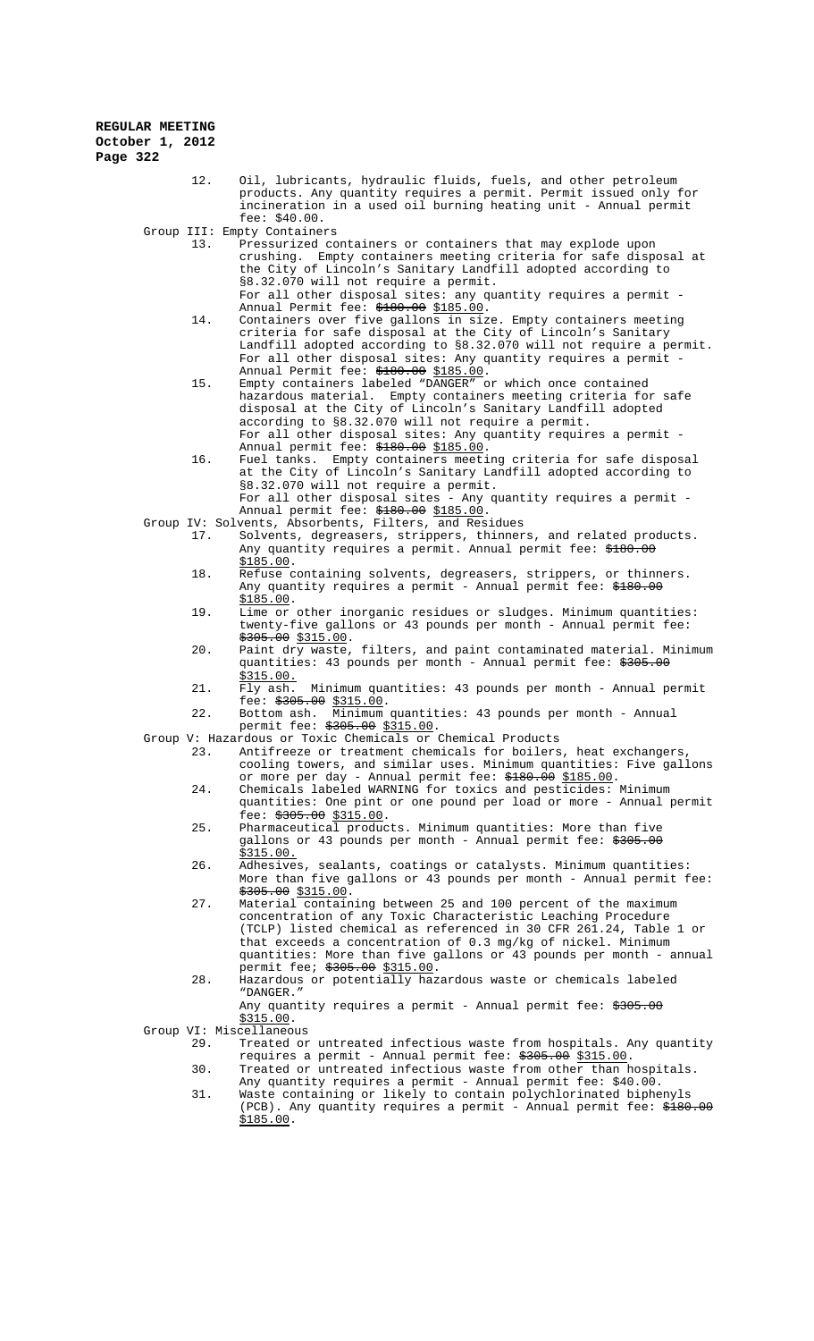12. Oil, lubricants, hydraulic fluids, fuels, and other petroleum products. Any quantity requires a permit. Permit issued only for incineration in a used oil burning heating unit - Annual permit fee: \$40.00.

Group III: Empty Containers<br>13 Pressurized Co

- 13. Pressurized containers or containers that may explode upon crushing. Empty containers meeting criteria for safe disposal at the City of Lincoln's Sanitary Landfill adopted according to §8.32.070 will not require a permit. For all other disposal sites: any quantity requires a permit -
- Annual Permit fee: \$180.00 \$185.00. 14. Containers over five gallons in size. Empty containers meeting criteria for safe disposal at the City of Lincoln's Sanitary Landfill adopted according to §8.32.070 will not require a permit. For all other disposal sites: Any quantity requires a permit Annual Permit fee: \$180.00 \$185.00.
- 15. Empty containers labeled "DANGER" or which once contained hazardous material. Empty containers meeting criteria for safe disposal at the City of Lincoln's Sanitary Landfill adopted according to §8.32.070 will not require a permit. For all other disposal sites: Any quantity requires a permit - Annual permit fee: \$180.00 \$185.00.
- 16. Fuel tanks. Empty containers meeting criteria for safe disposal at the City of Lincoln's Sanitary Landfill adopted according to §8.32.070 will not require a permit. For all other disposal sites - Any quantity requires a permit -
- Annual permit fee: \$180.00 \$185.00.
- Group IV: Solvents, Absorbents, Filters, and Residues 17. Solvents, degreasers, strippers, thinners, and related products. Any quantity requires a permit. Annual permit fee: <del>\$180.00</del> <u>\$185.00</u>.
	- 18. Refuse containing solvents, degreasers, strippers, or thinners. Any quantity requires a permit - Annual permit fee: <del>\$180.00</del> \$185.00.
	- 19. Lime or other inorganic residues or sludges. Minimum quantities: twenty-five gallons or 43 pounds per month - Annual permit fee:  $$305.00$  \$315.00.
	- 20. Paint dry waste, filters, and paint contaminated material. Minimum quantities: 43 pounds per month - Annual permit fee: \$305.00
	- $\frac{\overline{$315.00}}{Fly}$  ash. 21. Fly ash. Minimum quantities: 43 pounds per month - Annual permit fee:  $\frac{2511}{3305.00}$  \$315.00.
	- 22. Bottom ash. Minimum quantities: 43 pounds per month Annual permit fee: \$305.00 \$315.00.
- Group V: Hazardous or Toxic Chemicals or Chemical Products
	- 23. Antifreeze or treatment chemicals for boilers, heat exchangers, cooling towers, and similar uses. Minimum quantities: Five gallons or more per day - Annual permit fee: \$180.00 \$185.00.
	- 24. Chemicals labeled WARNING for toxics and pesticides: Minimum quantities: One pint or one pound per load or more - Annual permit fee:  $*305.00$   $*315.00$ .
	- 25. Pharmaceutical products. Minimum quantities: More than five gallons or 43 pounds per month - Annual permit fee: \$305.00 \$315.00.<br>Adhesives,
	- 26. Adhesives, sealants, coatings or catalysts. Minimum quantities: More than five gallons or  $4\overline{3}$  pounds per month - Annual permit fee: \$305.00 \$315.00.
	- 27. Material containing between 25 and 100 percent of the maximum concentration of any Toxic Characteristic Leaching Procedure<br>(TCLP) listed chemical as referenced in 30 CFR 261.24, Table 1 or (TCLP) listed chemical as referenced in 30 CFR 261.24, that exceeds a concentration of 0.3 mg/kg of nickel. Minimum quantities: More than five gallons or 43 pounds per month - annual permit fee; \$305.00 \$315.00.
	- 28. Hazardous or potentially hazardous waste or chemicals labeled "DANGER."

Any quantity requires a permit - Annual permit fee: \$305.00  $$315.00.$ 

- Group VI: Miscellaneous<br>29. Treated or
	- Treated or untreated infectious waste from hospitals. Any quantity requires a permit - Annual permit fee: <del>\$305.00</del> \$315.00. 30. Treated or untreated infectious waste from other than hospitals.
	- Any quantity requires a permit Annual permit fee: \$40.00. 31. Waste containing or likely to contain polychlorinated biphenyls (PCB). Any quantity requires a permit - Annual permit fee: \$180.00 \$185.00.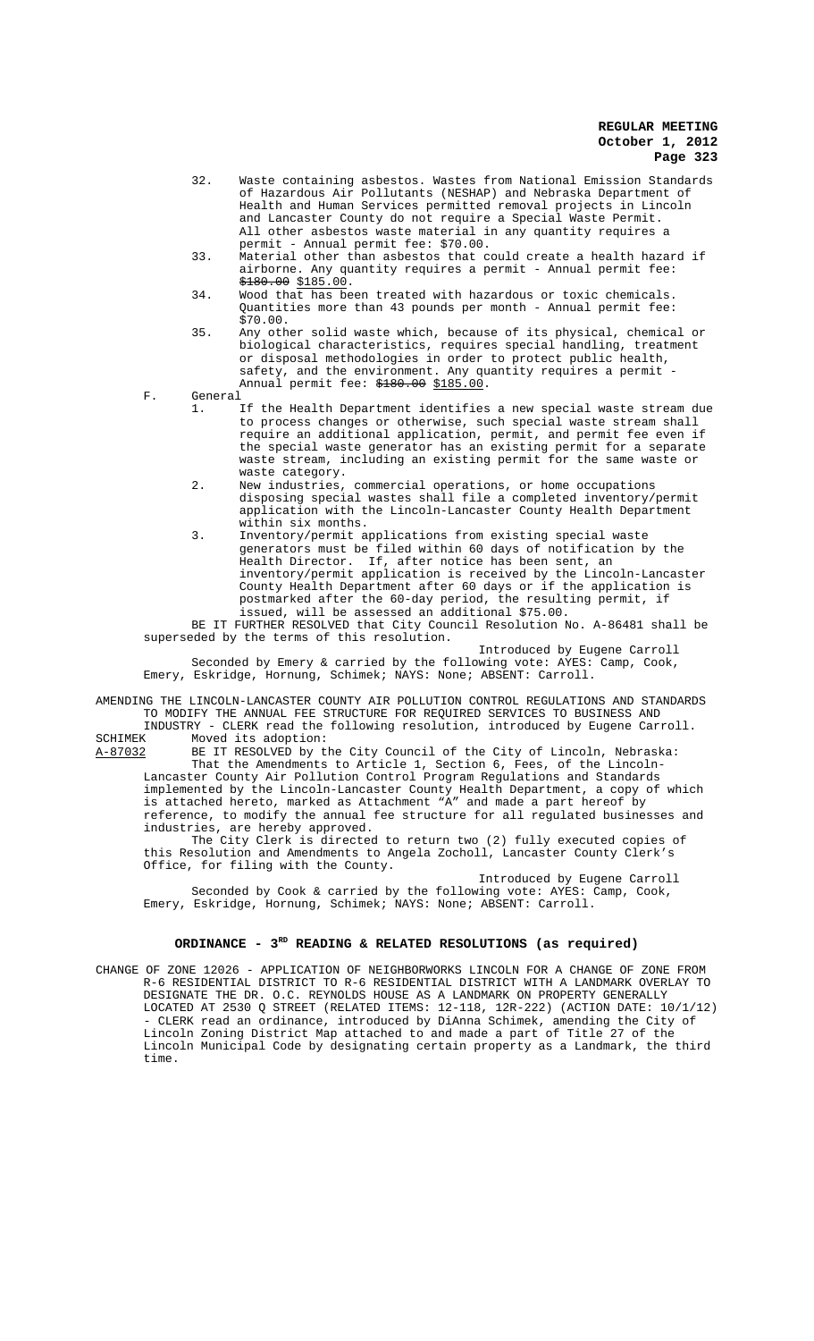- 32. Waste containing asbestos. Wastes from National Emission Standards of Hazardous Air Pollutants (NESHAP) and Nebraska Department of Health and Human Services permitted removal projects in Lincoln and Lancaster County do not require a Special Waste Permit. All other asbestos waste material in any quantity requires a permit - Annual permit fee: \$70.00.
- 33. Material other than asbestos that could create a health hazard if airborne. Any quantity requires a permit - Annual permit fee:  $\frac{180.00}{185.00}$ .
- 34. Wood that has been treated with hazardous or toxic chemicals. Quantities more than 43 pounds per month - Annual permit fee: \$70.00.
- 35. Any other solid waste which, because of its physical, chemical or biological characteristics, requires special handling, treatment or disposal methodologies in order to protect public health, safety, and the environment. Any quantity requires a permit Annual permit fee: \$180.00 \$185.00.
- F. General
	- 1. If the Health Department identifies a new special waste stream due to process changes or otherwise, such special waste stream shall require an additional application, permit, and permit fee even if the special waste generator has an existing permit for a separate waste stream, including an existing permit for the same waste or waste category.
	- 2. New industries, commercial operations, or home occupations disposing special wastes shall file a completed inventory/permit application with the Lincoln-Lancaster County Health Department within six months.
	- 3. Inventory/permit applications from existing special waste generators must be filed within 60 days of notification by the Health Director. If, after notice has been sent, an inventory/permit application is received by the Lincoln-Lancaster County Health Department after 60 days or if the application is postmarked after the 60-day period, the resulting permit, if issued, will be assessed an additional \$75.00.

BE IT FURTHER RESOLVED that City Council Resolution No. A-86481 shall be superseded by the terms of this resolution.

Introduced by Eugene Carroll Seconded by Emery & carried by the following vote: AYES: Camp, Cook, Emery, Eskridge, Hornung, Schimek; NAYS: None; ABSENT: Carroll.

AMENDING THE LINCOLN-LANCASTER COUNTY AIR POLLUTION CONTROL REGULATIONS AND STANDARDS TO MODIFY THE ANNUAL FEE STRUCTURE FOR REQUIRED SERVICES TO BUSINESS AND

INDUSTRY - CLERK read the following resolution, introduced by Eugene Carroll. SCHIMEK Moved its adoption:<br>A-87032 BE IT RESOLVED by t

BE IT RESOLVED by the City Council of the City of Lincoln, Nebraska: That the Amendments to Article 1, Section 6, Fees, of the Lincoln-Lancaster County Air Pollution Control Program Regulations and Standards implemented by the Lincoln-Lancaster County Health Department, a copy of which is attached hereto, marked as Attachment "A" and made a part hereof by reference, to modify the annual fee structure for all regulated businesses and

industries, are hereby approved. The City Clerk is directed to return two (2) fully executed copies of

this Resolution and Amendments to Angela Zocholl, Lancaster County Clerk's Office, for filing with the County. Introduced by Eugene Carroll

Seconded by Cook & carried by the following vote: AYES: Camp, Cook, Emery, Eskridge, Hornung, Schimek; NAYS: None; ABSENT: Carroll.

# ORDINANCE - 3<sup>RD</sup> READING & RELATED RESOLUTIONS (as required)

CHANGE OF ZONE 12026 - APPLICATION OF NEIGHBORWORKS LINCOLN FOR A CHANGE OF ZONE FROM R-6 RESIDENTIAL DISTRICT TO R-6 RESIDENTIAL DISTRICT WITH A LANDMARK OVERLAY TO DESIGNATE THE DR. O.C. REYNOLDS HOUSE AS A LANDMARK ON PROPERTY GENERALLY LOCATED AT 2530 Q STREET (RELATED ITEMS: 12-118, 12R-222) (ACTION DATE: 10/1/12) - CLERK read an ordinance, introduced by DiAnna Schimek, amending the City of Lincoln Zoning District Map attached to and made a part of Title 27 of the Lincoln Municipal Code by designating certain property as a Landmark, the third time.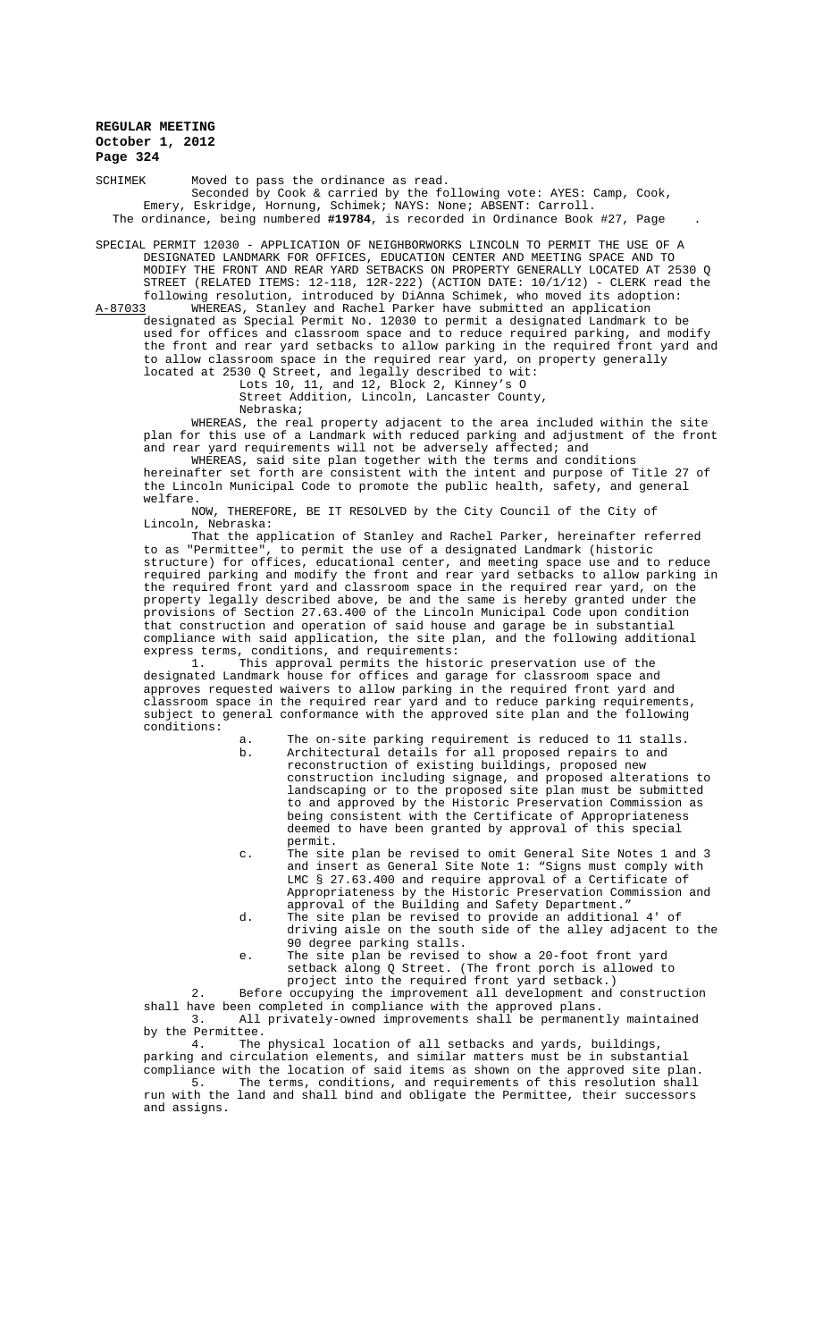SCHIMEK Moved to pass the ordinance as read. Seconded by Cook & carried by the following vote: AYES: Camp, Cook, Emery, Eskridge, Hornung, Schimek; NAYS: None; ABSENT: Carroll. The ordinance, being numbered **#19784**, is recorded in Ordinance Book #27, Page .

SPECIAL PERMIT 12030 - APPLICATION OF NEIGHBORWORKS LINCOLN TO PERMIT THE USE OF A DESIGNATED LANDMARK FOR OFFICES, EDUCATION CENTER AND MEETING SPACE AND TO MODIFY THE FRONT AND REAR YARD SETBACKS ON PROPERTY GENERALLY LOCATED AT 2530 Q STREET (RELATED ITEMS: 12-118, 12R-222) (ACTION DATE: 10/1/12) - CLERK read the following resolution, introduced by DiAnna Schimek, who moved its adoption:

A-87033 WHEREAS, Stanley and Rachel Parker have submitted an application designated as Special Permit No. 12030 to permit a designated Landmark to be used for offices and classroom space and to reduce required parking, and modify the front and rear yard setbacks to allow parking in the required front yard and to allow classroom space in the required rear yard, on property generally located at 2530 Q Street, and legally described to wit:

Lots 10, 11, and 12, Block 2, Kinney's O

Street Addition, Lincoln, Lancaster County,

Nebraska;

WHEREAS, the real property adjacent to the area included within the site plan for this use of a Landmark with reduced parking and adjustment of the front and rear yard requirements will not be adversely affected; and

WHEREAS, said site plan together with the terms and conditions hereinafter set forth are consistent with the intent and purpose of Title 27 of the Lincoln Municipal Code to promote the public health, safety, and general welfare.

NOW, THEREFORE, BE IT RESOLVED by the City Council of the City of Lincoln, Nebraska:

That the application of Stanley and Rachel Parker, hereinafter referred to as "Permittee", to permit the use of a designated Landmark (historic structure) for offices, educational center, and meeting space use and to reduce required parking and modify the front and rear yard setbacks to allow parking in the required front yard and classroom space in the required rear yard, on the property legally described above, be and the same is hereby granted under the provisions of Section 27.63.400 of the Lincoln Municipal Code upon condition that construction and operation of said house and garage be in substantial compliance with said application, the site plan, and the following additional express terms, conditions, and requirements:

1. This approval permits the historic preservation use of the designated Landmark house for offices and garage for classroom space and approves requested waivers to allow parking in the required front yard and classroom space in the required rear yard and to reduce parking requirements, subject to general conformance with the approved site plan and the following conditions:

- a. The on-site parking requirement is reduced to 11 stalls.<br>b. Architectural details for all proposed repairs to and b. Architectural details for all proposed repairs to and reconstruction of existing buildings, proposed new construction including signage, and proposed alterations to landscaping or to the proposed site plan must be submitted to and approved by the Historic Preservation Commission as being consistent with the Certificate of Appropriateness deemed to have been granted by approval of this special permit.
- c. The site plan be revised to omit General Site Notes 1 and 3 and insert as General Site Note 1: "Signs must comply with LMC § 27.63.400 and require approval of a Certificate of Appropriateness by the Historic Preservation Commission and approval of the Building and Safety Department."
- d. The site plan be revised to provide an additional 4' of driving aisle on the south side of the alley adjacent to the 90 degree parking stalls.
- e. The site plan be revised to show a 20-foot front yard setback along Q Street. (The front porch is allowed to project into the required front yard setback.)

2. Before occupying the improvement all development and construction shall have been completed in compliance with the approved plans. 3. All privately-owned improvements shall be permanently maintained

by the Permittee. 4. The physical location of all setbacks and yards, buildings, parking and circulation elements, and similar matters must be in substantial compliance with the location of said items as shown on the approved site plan. 5. The terms, conditions, and requirements of this resolution shall run with the land and shall bind and obligate the Permittee, their successors and assigns.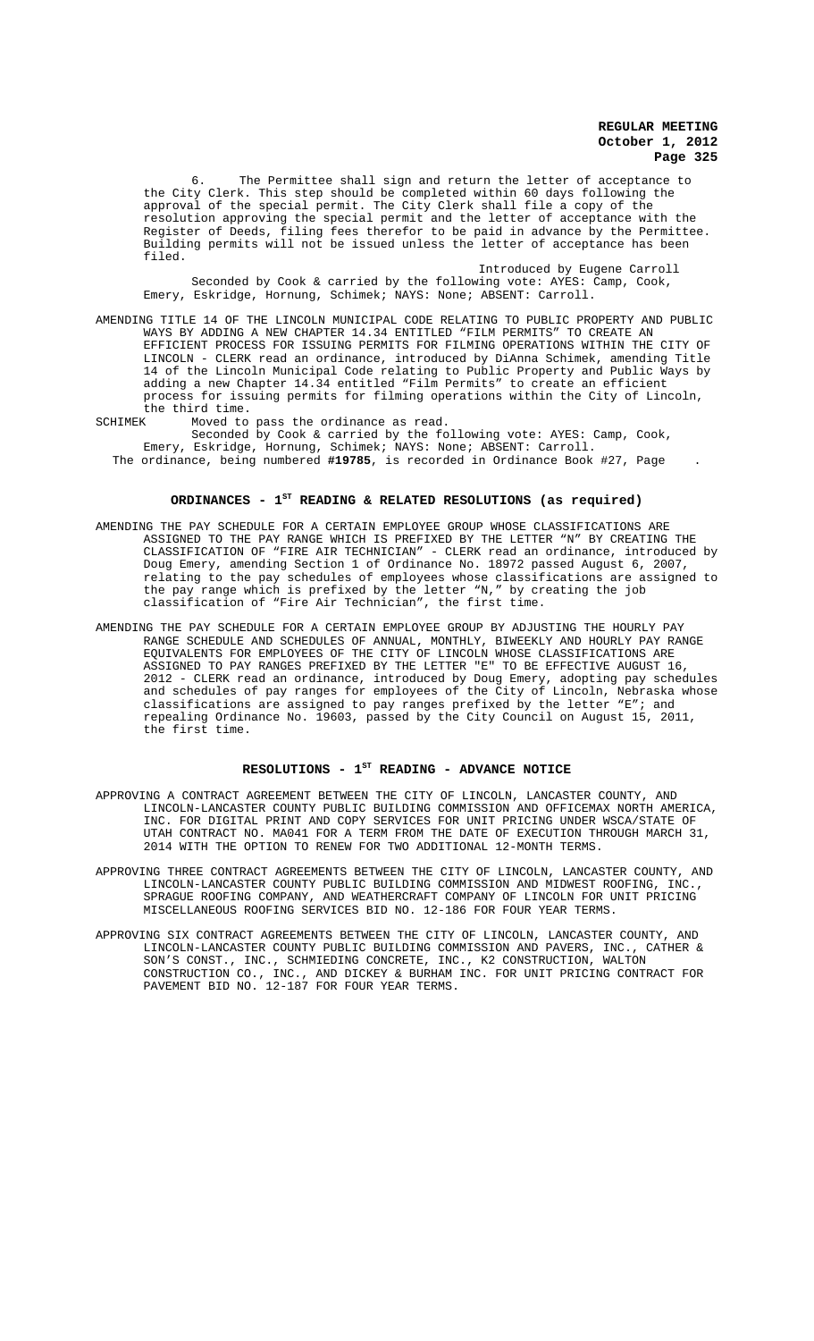6. The Permittee shall sign and return the letter of acceptance to the City Clerk. This step should be completed within 60 days following the approval of the special permit. The City Clerk shall file a copy of the resolution approving the special permit and the letter of acceptance with the Register of Deeds, filing fees therefor to be paid in advance by the Permittee. Building permits will not be issued unless the letter of acceptance has been filed.

Introduced by Eugene Carroll Seconded by Cook & carried by the following vote: AYES: Camp, Cook, Emery, Eskridge, Hornung, Schimek; NAYS: None; ABSENT: Carroll.

- AMENDING TITLE 14 OF THE LINCOLN MUNICIPAL CODE RELATING TO PUBLIC PROPERTY AND PUBLIC WAYS BY ADDING A NEW CHAPTER 14.34 ENTITLED "FILM PERMITS" TO CREATE AN EFFICIENT PROCESS FOR ISSUING PERMITS FOR FILMING OPERATIONS WITHIN THE CITY OF LINCOLN - CLERK read an ordinance, introduced by DiAnna Schimek, amending Title 14 of the Lincoln Municipal Code relating to Public Property and Public Ways by adding a new Chapter 14.34 entitled "Film Permits" to create an efficient process for issuing permits for filming operations within the City of Lincoln, the third time.<br>SCHIMEK Moved to
- SCHIMEK Moved to pass the ordinance as read.

Seconded by Cook & carried by the following vote: AYES: Camp, Cook, Emery, Eskridge, Hornung, Schimek; NAYS: None; ABSENT: Carroll. The ordinance, being numbered **#19785**, is recorded in Ordinance Book #27, Page .

# ORDINANCES - 1<sup>st</sup> READING & RELATED RESOLUTIONS (as required)

- AMENDING THE PAY SCHEDULE FOR A CERTAIN EMPLOYEE GROUP WHOSE CLASSIFICATIONS ARE ASSIGNED TO THE PAY RANGE WHICH IS PREFIXED BY THE LETTER "N" BY CREATING THE CLASSIFICATION OF "FIRE AIR TECHNICIAN" - CLERK read an ordinance, introduced by Doug Emery, amending Section 1 of Ordinance No. 18972 passed August 6, 2007, relating to the pay schedules of employees whose classifications are assigned to the pay range which is prefixed by the letter "N," by creating the job classification of "Fire Air Technician", the first time.
- AMENDING THE PAY SCHEDULE FOR A CERTAIN EMPLOYEE GROUP BY ADJUSTING THE HOURLY PAY RANGE SCHEDULE AND SCHEDULES OF ANNUAL, MONTHLY, BIWEEKLY AND HOURLY PAY RANGE EQUIVALENTS FOR EMPLOYEES OF THE CITY OF LINCOLN WHOSE CLASSIFICATIONS ARE ASSIGNED TO PAY RANGES PREFIXED BY THE LETTER "E" TO BE EFFECTIVE AUGUST 16, 2012 - CLERK read an ordinance, introduced by Doug Emery, adopting pay schedules and schedules of pay ranges for employees of the City of Lincoln, Nebraska whose classifications are assigned to pay ranges prefixed by the letter "E"; and repealing Ordinance No. 19603, passed by the City Council on August 15, 2011, the first time.

### RESOLUTIONS - 1<sup>st</sup> READING - ADVANCE NOTICE

- APPROVING A CONTRACT AGREEMENT BETWEEN THE CITY OF LINCOLN, LANCASTER COUNTY, AND LINCOLN-LANCASTER COUNTY PUBLIC BUILDING COMMISSION AND OFFICEMAX NORTH AMERICA, INC. FOR DIGITAL PRINT AND COPY SERVICES FOR UNIT PRICING UNDER WSCA/STATE OF UTAH CONTRACT NO. MA041 FOR A TERM FROM THE DATE OF EXECUTION THROUGH MARCH 31, 2014 WITH THE OPTION TO RENEW FOR TWO ADDITIONAL 12-MONTH TERMS.
- APPROVING THREE CONTRACT AGREEMENTS BETWEEN THE CITY OF LINCOLN, LANCASTER COUNTY, AND LINCOLN-LANCASTER COUNTY PUBLIC BUILDING COMMISSION AND MIDWEST ROOFING, INC., SPRAGUE ROOFING COMPANY, AND WEATHERCRAFT COMPANY OF LINCOLN FOR UNIT PRICING MISCELLANEOUS ROOFING SERVICES BID NO. 12-186 FOR FOUR YEAR TERMS.
- APPROVING SIX CONTRACT AGREEMENTS BETWEEN THE CITY OF LINCOLN, LANCASTER COUNTY, AND LINCOLN-LANCASTER COUNTY PUBLIC BUILDING COMMISSION AND PAVERS, INC., CATHER & SON'S CONST., INC., SCHMIEDING CONCRETE, INC., K2 CONSTRUCTION, WALTON CONSTRUCTION CO., INC., AND DICKEY & BURHAM INC. FOR UNIT PRICING CONTRACT FOR PAVEMENT BID NO. 12-187 FOR FOUR YEAR TERMS.